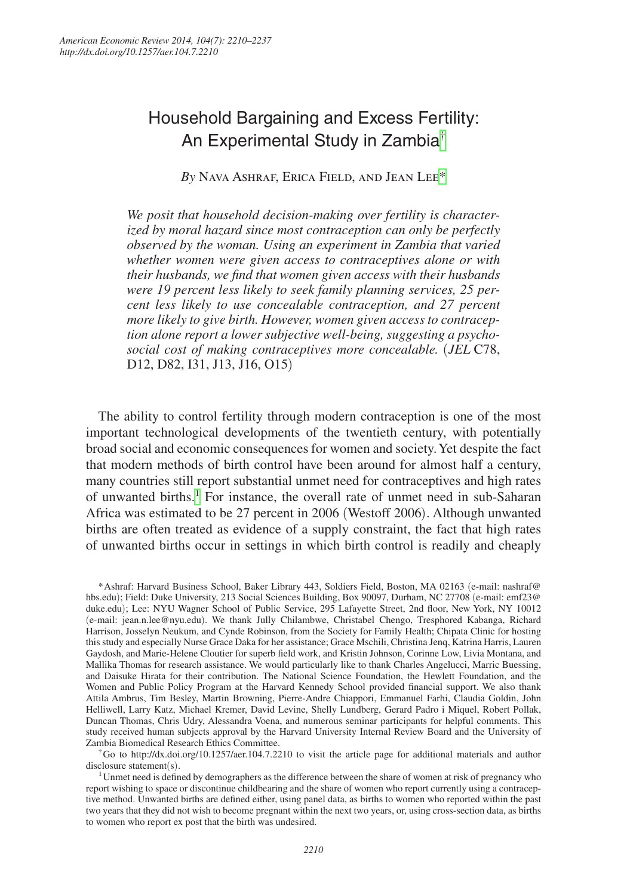# Household Bargaining and Excess Fertility: An Experimental Study in Zambia[†](#page-0-0)

*By* Nava Ashraf, Erica Field, and Jean Le[e\\*](#page-0-1)

*We posit that household decision-making over fertility is characterized by moral hazard since most contraception can only be perfectly observed by the woman. Using an experiment in Zambia that varied whether women were given access to contraceptives alone or with their husbands, we find that women given access with their husbands were 19 percent less likely to seek family planning services, 25 percent less likely to use concealable contraception, and 27 percent more likely to give birth. However, women given access to contraception alone report a lower subjective well-being, suggesting a psychosocial cost of making contraceptives more concealable.* (*JEL* C78, D12, D82, I31, J13, J16, O15)

The ability to control fertility through modern contraception is one of the most important technological developments of the twentieth century, with potentially broad social and economic consequences for women and society. Yet despite the fact that modern methods of birth control have been around for almost half a century, many countries still report substantial unmet need for contraceptives and high rates of unwanted births.<sup>[1](#page-0-2)</sup> For instance, the overall rate of unmet need in sub-Saharan Africa was estimated to be 27 percent in 2006 (Westoff 2006). Although unwanted births are often treated as evidence of a supply constraint, the fact that high rates of unwanted births occur in settings in which birth control is readily and cheaply

<span id="page-0-1"></span>\*Ashraf: Harvard Business School, Baker Library 443, Soldiers Field, Boston, MA 02163 (e-mail: nashraf@ hbs.edu); Field: Duke University, 213 Social Sciences Building, Box 90097, Durham, NC 27708 (e-mail: emf23@ duke.edu); Lee: NYU Wagner School of Public Service, 295 Lafayette Street, 2nd floor, New York, NY 10012 (e-mail: jean.n.lee@nyu.edu). We thank Jully Chilambwe, Christabel Chengo, Tresphored Kabanga, Richard Harrison, Josselyn Neukum, and Cynde Robinson, from the Society for Family Health; Chipata Clinic for hosting this study and especially Nurse Grace Daka for her assistance; Grace Mschili, Christina Jenq, Katrina Harris, Lauren Gaydosh, and Marie-Helene Cloutier for superb field work, and Kristin Johnson, Corinne Low, Livia Montana, and Mallika Thomas for research assistance. We would particularly like to thank Charles Angelucci, Marric Buessing, and Daisuke Hirata for their contribution. The National Science Foundation, the Hewlett Foundation, and the Women and Public Policy Program at the Harvard Kennedy School provided financial support. We also thank Attila Ambrus, Tim Besley, Martin Browning, Pierre-Andre Chiappori, Emmanuel Farhi, Claudia Goldin, John Helliwell, Larry Katz, Michael Kremer, David Levine, Shelly Lundberg, Gerard Padro i Miquel, Robert Pollak, Duncan Thomas, Chris Udry, Alessandra Voena, and numerous seminar participants for helpful comments. This study received human subjects approval by the Harvard University Internal Review Board and the University of

<span id="page-0-0"></span>Zambia Biomedical Research Ethics Committee.<br><sup>†</sup>Go to http://dx.doi.org/10.1257/aer.104.7.2210 to visit the article page for additional materials and author disclosure statement(s).

<span id="page-0-2"></span><sup>1</sup>Unmet need is defined by demographers as the difference between the share of women at risk of pregnancy who report wishing to space or discontinue childbearing and the share of women who report currently using a contraceptive method. Unwanted births are defined either, using panel data, as births to women who reported within the past two years that they did not wish to become pregnant within the next two years, or, using cross-section data, as births to women who report ex post that the birth was undesired.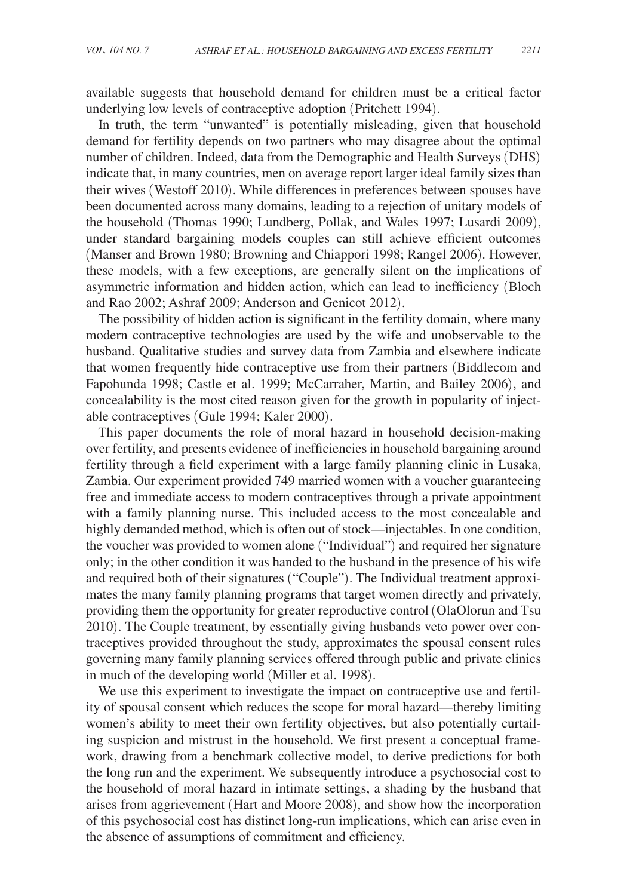available suggests that household demand for children must be a critical factor underlying low levels of contraceptive adoption (Pritchett 1994).

In truth, the term "unwanted" is potentially misleading, given that household demand for fertility depends on two partners who may disagree about the optimal number of children. Indeed, data from the Demographic and Health Surveys (DHS) indicate that, in many countries, men on average report larger ideal family sizes than their wives (Westoff 2010). While differences in preferences between spouses have been documented across many domains, leading to a rejection of unitary models of the household (Thomas 1990; Lundberg, Pollak, and Wales 1997; Lusardi 2009), under standard bargaining models couples can still achieve efficient outcomes (Manser and Brown 1980; Browning and Chiappori 1998; Rangel 2006). However, these models, with a few exceptions, are generally silent on the implications of asymmetric information and hidden action, which can lead to inefficiency (Bloch and Rao 2002; Ashraf 2009; Anderson and Genicot 2012).

The possibility of hidden action is significant in the fertility domain, where many modern contraceptive technologies are used by the wife and unobservable to the husband. Qualitative studies and survey data from Zambia and elsewhere indicate that women frequently hide contraceptive use from their partners (Biddlecom and Fapohunda 1998; Castle et al. 1999; McCarraher, Martin, and Bailey 2006), and concealability is the most cited reason given for the growth in popularity of injectable contraceptives (Gule 1994; Kaler 2000).

This paper documents the role of moral hazard in household decision-making over fertility, and presents evidence of inefficiencies in household bargaining around fertility through a field experiment with a large family planning clinic in Lusaka, Zambia. Our experiment provided 749 married women with a voucher guaranteeing free and immediate access to modern contraceptives through a private appointment with a family planning nurse. This included access to the most concealable and highly demanded method, which is often out of stock—injectables. In one condition, the voucher was provided to women alone ("Individual") and required her signature only; in the other condition it was handed to the husband in the presence of his wife and required both of their signatures ("Couple"). The Individual treatment approximates the many family planning programs that target women directly and privately, providing them the opportunity for greater reproductive control (OlaOlorun and Tsu 2010). The Couple treatment, by essentially giving husbands veto power over contraceptives provided throughout the study, approximates the spousal consent rules governing many family planning services offered through public and private clinics in much of the developing world (Miller et al. 1998).

We use this experiment to investigate the impact on contraceptive use and fertility of spousal consent which reduces the scope for moral hazard—thereby limiting women's ability to meet their own fertility objectives, but also potentially curtailing suspicion and mistrust in the household. We first present a conceptual framework, drawing from a benchmark collective model, to derive predictions for both the long run and the experiment. We subsequently introduce a psychosocial cost to the household of moral hazard in intimate settings, a shading by the husband that arises from aggrievement (Hart and Moore 2008), and show how the incorporation of this psychosocial cost has distinct long-run implications, which can arise even in the absence of assumptions of commitment and efficiency.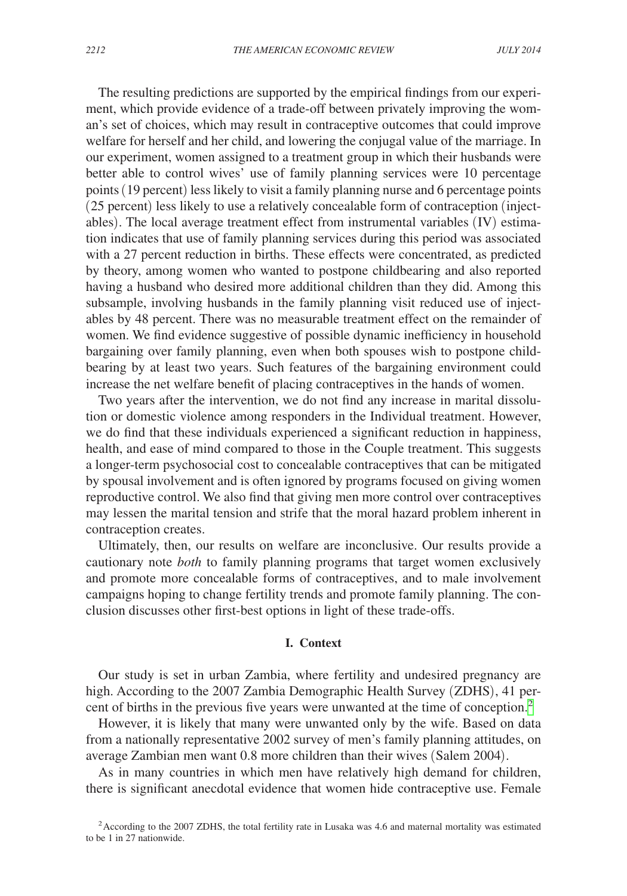The resulting predictions are supported by the empirical findings from our experiment, which provide evidence of a trade-off between privately improving the woman's set of choices, which may result in contraceptive outcomes that could improve welfare for herself and her child, and lowering the conjugal value of the marriage. In our experiment, women assigned to a treatment group in which their husbands were better able to control wives' use of family planning services were 10 percentage points (19 percent) less likely to visit a family planning nurse and 6 percentage points (25 percent) less likely to use a relatively concealable form of contraception (injectables). The local average treatment effect from instrumental variables (IV) estimation indicates that use of family planning services during this period was associated with a 27 percent reduction in births. These effects were concentrated, as predicted by theory, among women who wanted to postpone childbearing and also reported having a husband who desired more additional children than they did. Among this subsample, involving husbands in the family planning visit reduced use of injectables by 48 percent. There was no measurable treatment effect on the remainder of women. We find evidence suggestive of possible dynamic inefficiency in household bargaining over family planning, even when both spouses wish to postpone childbearing by at least two years. Such features of the bargaining environment could increase the net welfare benefit of placing contraceptives in the hands of women.

Two years after the intervention, we do not find any increase in marital dissolution or domestic violence among responders in the Individual treatment. However, we do find that these individuals experienced a significant reduction in happiness, health, and ease of mind compared to those in the Couple treatment. This suggests a longer-term psychosocial cost to concealable contraceptives that can be mitigated by spousal involvement and is often ignored by programs focused on giving women reproductive control. We also find that giving men more control over contraceptives may lessen the marital tension and strife that the moral hazard problem inherent in contraception creates.

Ultimately, then, our results on welfare are inconclusive. Our results provide a cautionary note *both* to family planning programs that target women exclusively and promote more concealable forms of contraceptives, and to male involvement campaigns hoping to change fertility trends and promote family planning. The conclusion discusses other first-best options in light of these trade-offs.

## **I. Context**

Our study is set in urban Zambia, where fertility and undesired pregnancy are high. According to the 2007 Zambia Demographic Health Survey (ZDHS), 41 percent of births in the previous five years were unwanted at the time of conception.<sup>2</sup>

However, it is likely that many were unwanted only by the wife. Based on data from a nationally representative 2002 survey of men's family planning attitudes, on average Zambian men want 0.8 more children than their wives (Salem 2004).

As in many countries in which men have relatively high demand for children, there is significant anecdotal evidence that women hide contraceptive use. Female

<span id="page-2-0"></span><sup>&</sup>lt;sup>2</sup> According to the 2007 ZDHS, the total fertility rate in Lusaka was 4.6 and maternal mortality was estimated to be 1 in 27 nationwide.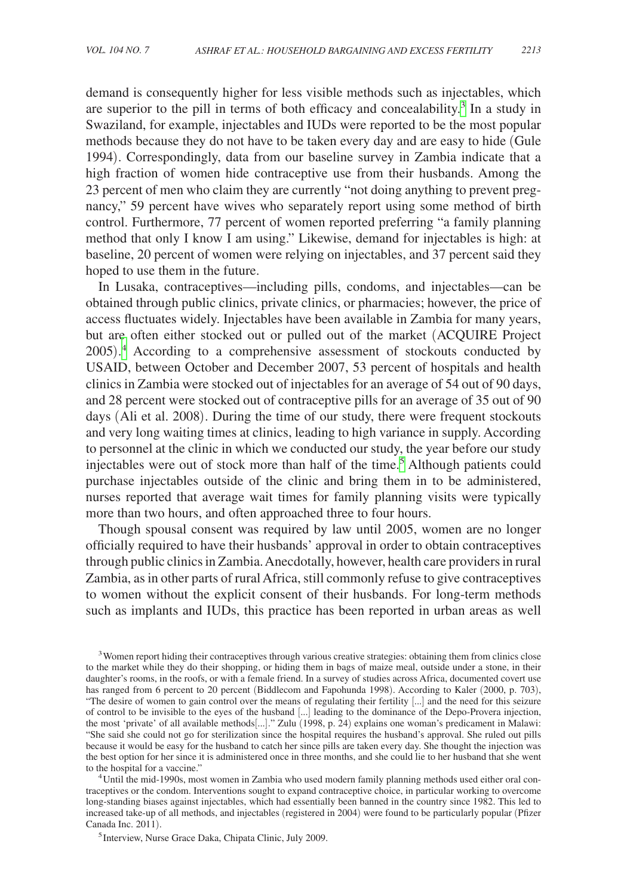demand is consequently higher for less visible methods such as injectables, which are superior to the pill in terms of both efficacy and concealability.<sup>3</sup> In a study in Swaziland, for example, injectables and IUDs were reported to be the most popular methods because they do not have to be taken every day and are easy to hide (Gule 1994). Correspondingly, data from our baseline survey in Zambia indicate that a high fraction of women hide contraceptive use from their husbands. Among the 23 percent of men who claim they are currently "not doing anything to prevent pregnancy," 59 percent have wives who separately report using some method of birth control. Furthermore, 77 percent of women reported preferring "a family planning method that only I know I am using." Likewise, demand for injectables is high: at baseline, 20 percent of women were relying on injectables, and 37 percent said they hoped to use them in the future.

In Lusaka, contraceptives—including pills, condoms, and injectables—can be obtained through public clinics, private clinics, or pharmacies; however, the price of access fluctuates widely. Injectables have been available in Zambia for many years, but are often either stocked out or pulled out of the market (ACQUIRE Project 2005). [4](#page-3-1) According to a comprehensive assessment of stockouts conducted by USAID, between October and December 2007, 53 percent of hospitals and health clinics in Zambia were stocked out of injectables for an average of 54 out of 90 days, and 28 percent were stocked out of contraceptive pills for an average of 35 out of 90 days (Ali et al. 2008). During the time of our study, there were frequent stockouts and very long waiting times at clinics, leading to high variance in supply. According to personnel at the clinic in which we conducted our study, the year before our study injectables were out of stock more than half of the time.<sup>5</sup> Although patients could purchase injectables outside of the clinic and bring them in to be administered, nurses reported that average wait times for family planning visits were typically more than two hours, and often approached three to four hours.

Though spousal consent was required by law until 2005, women are no longer officially required to have their husbands' approval in order to obtain contraceptives through public clinics in Zambia. Anecdotally, however, health care providers in rural Zambia, as in other parts of rural Africa, still commonly refuse to give contraceptives to women without the explicit consent of their husbands. For long-term methods such as implants and IUDs, this practice has been reported in urban areas as well

<span id="page-3-0"></span><sup>&</sup>lt;sup>3</sup> Women report hiding their contraceptives through various creative strategies: obtaining them from clinics close to the market while they do their shopping, or hiding them in bags of maize meal, outside under a stone, in their daughter's rooms, in the roofs, or with a female friend. In a survey of studies across Africa, documented covert use has ranged from 6 percent to 20 percent (Biddlecom and Fapohunda 1998). According to Kaler (2000, p. 703), "The desire of women to gain control over the means of regulating their fertility [...] and the need for this seizure of control to be invisible to the eyes of the husband [...] leading to the dominance of the Depo-Provera injection, the most 'private' of all available methods[...]." Zulu (1998, p. 24) explains one woman's predicament in Malawi: "She said she could not go for sterilization since the hospital requires the husband's approval. She ruled out pills because it would be easy for the husband to catch her since pills are taken every day. She thought the injection was the best option for her since it is administered once in three months, and she could lie to her husband that she went to the hospital for a vaccine."<br><sup>4</sup>Until the mid-1990s, most women in Zambia who used modern family planning methods used either oral con-

<span id="page-3-1"></span>traceptives or the condom. Interventions sought to expand contraceptive choice, in particular working to overcome long-standing biases against injectables, which had essentially been banned in the country since 1982. This led to increased take-up of all methods, and injectables (registered in 2004) were found to be particularly popular (Pfizer

<span id="page-3-2"></span><sup>&</sup>lt;sup>5</sup> Interview, Nurse Grace Daka, Chipata Clinic, July 2009.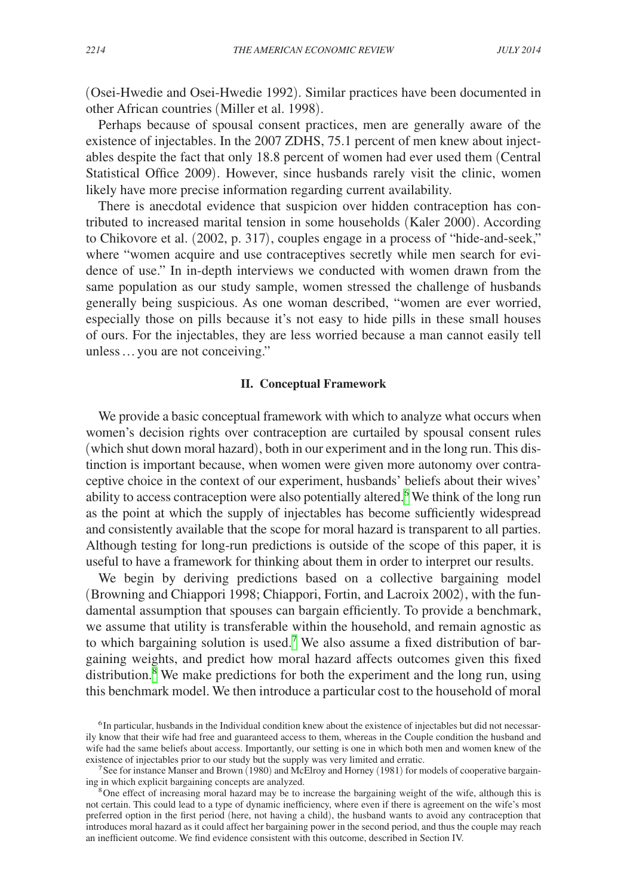(Osei-Hwedie and Osei-Hwedie 1992). Similar practices have been documented in other African countries (Miller et al. 1998).

Perhaps because of spousal consent practices, men are generally aware of the existence of injectables. In the 2007 ZDHS, 75.1 percent of men knew about injectables despite the fact that only 18.8 percent of women had ever used them (Central Statistical Office 2009). However, since husbands rarely visit the clinic, women likely have more precise information regarding current availability.

There is anecdotal evidence that suspicion over hidden contraception has contributed to increased marital tension in some households (Kaler 2000). According to Chikovore et al. (2002, p. 317), couples engage in a process of "hide-and-seek," where "women acquire and use contraceptives secretly while men search for evidence of use." In in-depth interviews we conducted with women drawn from the same population as our study sample, women stressed the challenge of husbands generally being suspicious. As one woman described, "women are ever worried, especially those on pills because it's not easy to hide pills in these small houses of ours. For the injectables, they are less worried because a man cannot easily tell unless…you are not conceiving."

## **II. Conceptual Framework**

We provide a basic conceptual framework with which to analyze what occurs when women's decision rights over contraception are curtailed by spousal consent rules (which shut down moral hazard), both in our experiment and in the long run. This distinction is important because, when women were given more autonomy over contraceptive choice in the context of our experiment, husbands' beliefs about their wives' ability to access contraception were also potentially altered.<sup>[6](#page-4-0)</sup> We think of the long run as the point at which the supply of injectables has become sufficiently widespread and consistently available that the scope for moral hazard is transparent to all parties. Although testing for long-run predictions is outside of the scope of this paper, it is useful to have a framework for thinking about them in order to interpret our results.

We begin by deriving predictions based on a collective bargaining model (Browning and Chiappori 1998; Chiappori, Fortin, and Lacroix 2002), with the fundamental assumption that spouses can bargain efficiently. To provide a benchmark, we assume that utility is transferable within the household, and remain agnostic as to which bargaining solution is used.<sup>[7](#page-4-1)</sup> We also assume a fixed distribution of bargaining weights, and predict how moral hazard affects outcomes given this fixed distribution.<sup>[8](#page-4-2)</sup> We make predictions for both the experiment and the long run, using this benchmark model. We then introduce a particular cost to the household of moral

<span id="page-4-0"></span><sup>&</sup>lt;sup>6</sup> In particular, husbands in the Individual condition knew about the existence of injectables but did not necessarily know that their wife had free and guaranteed access to them, whereas in the Couple condition the husband and wife had the same beliefs about access. Importantly, our setting is one in which both men and women knew of the existence of injectables prior to our study but the supply was very limited and erratic.

<span id="page-4-1"></span><sup>&</sup>lt;sup>7</sup> See for instance Manser and Brown (1980) and McElroy and Horney (1981) for models of cooperative bargaining in which explicit bargaining concepts are analyzed.

<span id="page-4-2"></span> $8$ One effect of increasing moral hazard may be to increase the bargaining weight of the wife, although this is not certain. This could lead to a type of dynamic inefficiency, where even if there is agreement on the wife's most preferred option in the first period (here, not having a child), the husband wants to avoid any contraception that introduces moral hazard as it could affect her bargaining power in the second period, and thus the couple may reach an inefficient outcome. We find evidence consistent with this outcome, described in Section IV.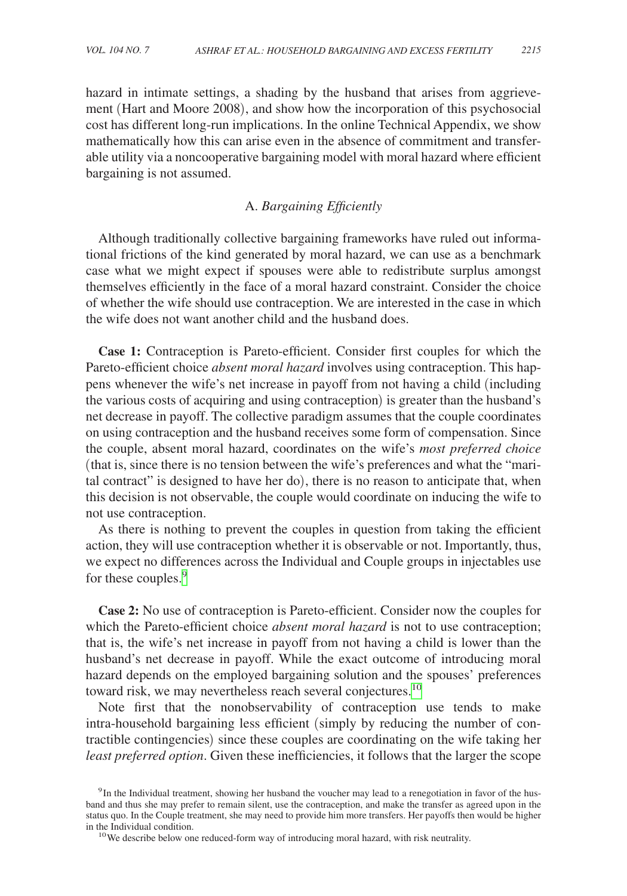hazard in intimate settings, a shading by the husband that arises from aggrievement (Hart and Moore 2008), and show how the incorporation of this psychosocial cost has different long-run implications. In the online Technical Appendix, we show mathematically how this can arise even in the absence of commitment and transferable utility via a noncooperative bargaining model with moral hazard where efficient bargaining is not assumed.

# A. *Bargaining Efficiently*

Although traditionally collective bargaining frameworks have ruled out informational frictions of the kind generated by moral hazard, we can use as a benchmark case what we might expect if spouses were able to redistribute surplus amongst themselves efficiently in the face of a moral hazard constraint. Consider the choice of whether the wife should use contraception. We are interested in the case in which the wife does not want another child and the husband does.

**Case 1:** Contraception is Pareto-efficient. Consider first couples for which the Pareto-efficient choice *absent moral hazard* involves using contraception. This happens whenever the wife's net increase in payoff from not having a child (including the various costs of acquiring and using contraception) is greater than the husband's net decrease in payoff. The collective paradigm assumes that the couple coordinates on using contraception and the husband receives some form of compensation. Since the couple, absent moral hazard, coordinates on the wife's *most preferred choice* (that is, since there is no tension between the wife's preferences and what the "marital contract" is designed to have her do), there is no reason to anticipate that, when this decision is not observable, the couple would coordinate on inducing the wife to not use contraception.

As there is nothing to prevent the couples in question from taking the efficient action, they will use contraception whether it is observable or not. Importantly, thus, we expect no differences across the Individual and Couple groups in injectables use for these couples.<sup>[9](#page-5-0)</sup>

**Case 2:** No use of contraception is Pareto-efficient. Consider now the couples for which the Pareto-efficient choice *absent moral hazard* is not to use contraception; that is, the wife's net increase in payoff from not having a child is lower than the husband's net decrease in payoff. While the exact outcome of introducing moral hazard depends on the employed bargaining solution and the spouses' preferences toward risk, we may nevertheless reach several conjectures.<sup>[10](#page-5-1)</sup>

Note first that the nonobservability of contraception use tends to make intra-household bargaining less efficient (simply by reducing the number of contractible contingencies) since these couples are coordinating on the wife taking her *least preferred option*. Given these inefficiencies, it follows that the larger the scope

<span id="page-5-1"></span>

<span id="page-5-0"></span><sup>&</sup>lt;sup>9</sup>In the Individual treatment, showing her husband the voucher may lead to a renegotiation in favor of the husband and thus she may prefer to remain silent, use the contraception, and make the transfer as agreed upon in the status quo. In the Couple treatment, she may need to provide him more transfers. Her payoffs then would be higher in the Individual condition.<br><sup>10</sup>We describe below one reduced-form way of introducing moral hazard, with risk neutrality.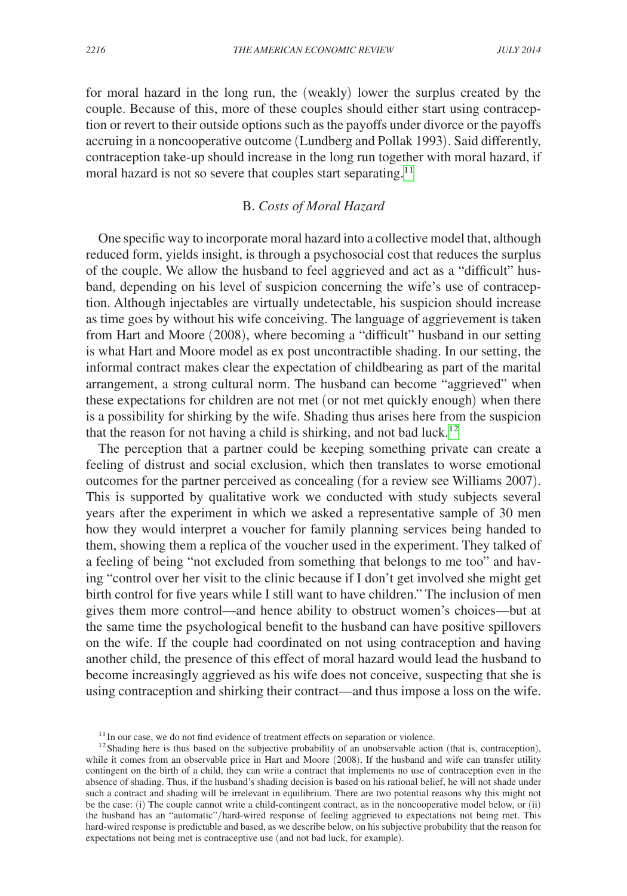for moral hazard in the long run, the (weakly) lower the surplus created by the couple. Because of this, more of these couples should either start using contraception or revert to their outside options such as the payoffs under divorce or the payoffs accruing in a noncooperative outcome (Lundberg and Pollak 1993). Said differently, contraception take-up should increase in the long run together with moral hazard, if moral hazard is not so severe that couples start separating.<sup>[11](#page-6-0)</sup>

## B. *Costs of Moral Hazard*

One specific way to incorporate moral hazard into a collective model that, although reduced form, yields insight, is through a psychosocial cost that reduces the surplus of the couple. We allow the husband to feel aggrieved and act as a "difficult" husband, depending on his level of suspicion concerning the wife's use of contraception. Although injectables are virtually undetectable, his suspicion should increase as time goes by without his wife conceiving. The language of aggrievement is taken from Hart and Moore (2008), where becoming a "difficult" husband in our setting is what Hart and Moore model as ex post uncontractible shading. In our setting, the informal contract makes clear the expectation of childbearing as part of the marital arrangement, a strong cultural norm. The husband can become "aggrieved" when these expectations for children are not met (or not met quickly enough) when there is a possibility for shirking by the wife. Shading thus arises here from the suspicion that the reason for not having a child is shirking, and not bad luck.<sup>[12](#page-6-1)</sup>

The perception that a partner could be keeping something private can create a feeling of distrust and social exclusion, which then translates to worse emotional outcomes for the partner perceived as concealing (for a review see Williams 2007). This is supported by qualitative work we conducted with study subjects several years after the experiment in which we asked a representative sample of 30 men how they would interpret a voucher for family planning services being handed to them, showing them a replica of the voucher used in the experiment. They talked of a feeling of being "not excluded from something that belongs to me too" and having "control over her visit to the clinic because if I don't get involved she might get birth control for five years while I still want to have children." The inclusion of men gives them more control—and hence ability to obstruct women's choices—but at the same time the psychological benefit to the husband can have positive spillovers on the wife. If the couple had coordinated on not using contraception and having another child, the presence of this effect of moral hazard would lead the husband to become increasingly aggrieved as his wife does not conceive, suspecting that she is using contraception and shirking their contract—and thus impose a loss on the wife.

<span id="page-6-1"></span><span id="page-6-0"></span>

<sup>&</sup>lt;sup>11</sup>In our case, we do not find evidence of treatment effects on separation or violence. <sup>12</sup>Shading here is thus based on the subjective probability of an unobservable action (that is, contraception), while it comes from an observable price in Hart and Moore (2008). If the husband and wife can transfer utility contingent on the birth of a child, they can write a contract that implements no use of contraception even in the absence of shading. Thus, if the husband's shading decision is based on his rational belief, he will not shade under such a contract and shading will be irrelevant in equilibrium. There are two potential reasons why this might not be the case: (i) The couple cannot write a child-contingent contract, as in the noncooperative model below, or (ii) the husband has an "automatic"/hard-wired response of feeling aggrieved to expectations not being met. This hard-wired response is predictable and based, as we describe below, on his subjective probability that the reason for expectations not being met is contraceptive use (and not bad luck, for example).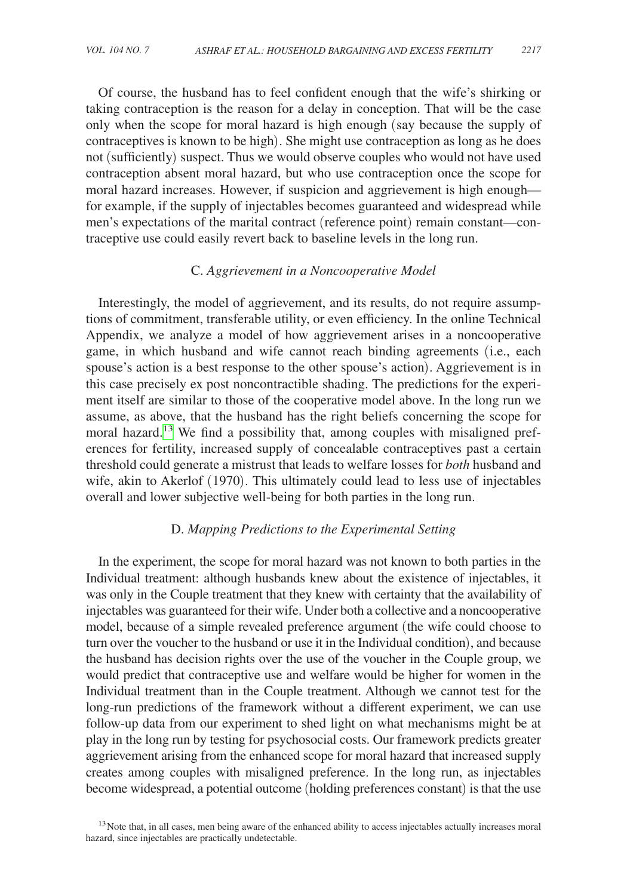Of course, the husband has to feel confident enough that the wife's shirking or taking contraception is the reason for a delay in conception. That will be the case only when the scope for moral hazard is high enough (say because the supply of contraceptives is known to be high). She might use contraception as long as he does not (sufficiently) suspect. Thus we would observe couples who would not have used contraception absent moral hazard, but who use contraception once the scope for moral hazard increases. However, if suspicion and aggrievement is high enough for example, if the supply of injectables becomes guaranteed and widespread while men's expectations of the marital contract (reference point) remain constant—contraceptive use could easily revert back to baseline levels in the long run.

## C. *Aggrievement in a Noncooperative Model*

Interestingly, the model of aggrievement, and its results, do not require assumptions of commitment, transferable utility, or even efficiency. In the online Technical Appendix, we analyze a model of how aggrievement arises in a noncooperative game, in which husband and wife cannot reach binding agreements (i.e., each spouse's action is a best response to the other spouse's action). Aggrievement is in this case precisely ex post noncontractible shading. The predictions for the experiment itself are similar to those of the cooperative model above. In the long run we assume, as above, that the husband has the right beliefs concerning the scope for moral hazard.<sup>[13](#page-7-0)</sup> We find a possibility that, among couples with misaligned preferences for fertility, increased supply of concealable contraceptives past a certain threshold could generate a mistrust that leads to welfare losses for *both* husband and wife, akin to Akerlof (1970). This ultimately could lead to less use of injectables overall and lower subjective well-being for both parties in the long run.

# D. *Mapping Predictions to the Experimental Setting*

In the experiment, the scope for moral hazard was not known to both parties in the Individual treatment: although husbands knew about the existence of injectables, it was only in the Couple treatment that they knew with certainty that the availability of injectables was guaranteed for their wife. Under both a collective and a noncooperative model, because of a simple revealed preference argument (the wife could choose to turn over the voucher to the husband or use it in the Individual condition), and because the husband has decision rights over the use of the voucher in the Couple group, we would predict that contraceptive use and welfare would be higher for women in the Individual treatment than in the Couple treatment. Although we cannot test for the long-run predictions of the framework without a different experiment, we can use follow-up data from our experiment to shed light on what mechanisms might be at play in the long run by testing for psychosocial costs. Our framework predicts greater aggrievement arising from the enhanced scope for moral hazard that increased supply creates among couples with misaligned preference. In the long run, as injectables become widespread, a potential outcome (holding preferences constant) is that the use

<span id="page-7-0"></span><sup>&</sup>lt;sup>13</sup>Note that, in all cases, men being aware of the enhanced ability to access injectables actually increases moral hazard, since injectables are practically undetectable.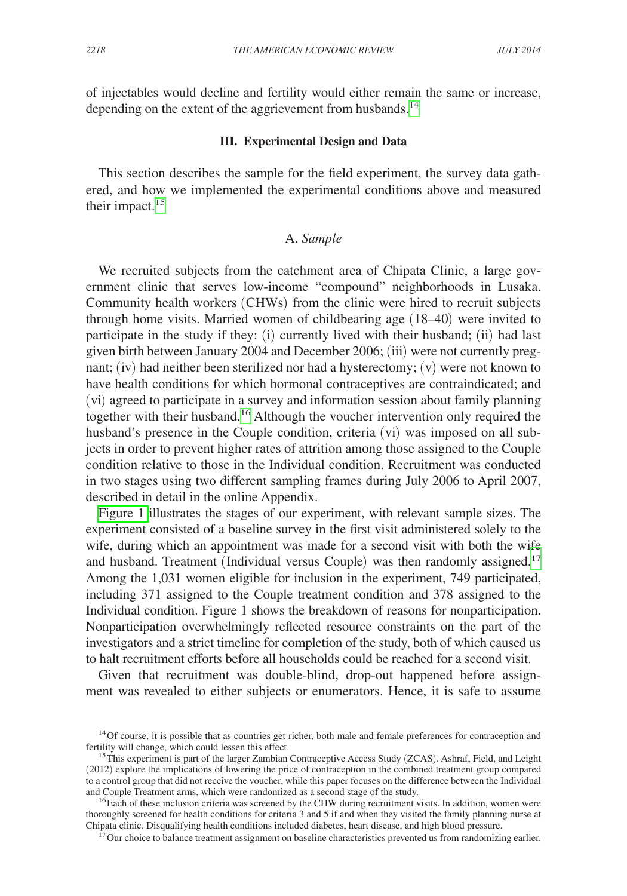of injectables would decline and fertility would either remain the same or increase, depending on the extent of the aggrievement from husbands.<sup>[14](#page-8-0)</sup>

#### **III. Experimental Design and Data**

This section describes the sample for the field experiment, the survey data gathered, and how we implemented the experimental conditions above and measured their impact.<sup>[15](#page-8-1)</sup>

# A. *Sample*

We recruited subjects from the catchment area of Chipata Clinic, a large government clinic that serves low-income "compound" neighborhoods in Lusaka. Community health workers (CHWs) from the clinic were hired to recruit subjects through home visits. Married women of childbearing age (18–40) were invited to participate in the study if they: (i) currently lived with their husband; (ii) had last given birth between January 2004 and December 2006; (iii) were not currently pregnant; (iv) had neither been sterilized nor had a hysterectomy; (v) were not known to have health conditions for which hormonal contraceptives are contraindicated; and (vi) agreed to participate in a survey and information session about family planning together with their husband[.16](#page-8-2) Although the voucher intervention only required the husband's presence in the Couple condition, criteria (vi) was imposed on all subjects in order to prevent higher rates of attrition among those assigned to the Couple condition relative to those in the Individual condition. Recruitment was conducted in two stages using two different sampling frames during July 2006 to April 2007, described in detail in the online Appendix.

[Figure 1](#page-9-0) illustrates the stages of our experiment, with relevant sample sizes. The experiment consisted of a baseline survey in the first visit administered solely to the wife, during which an appointment was made for a second visit with both the wife and husband. Treatment (Individual versus Couple) was then randomly assigned.<sup>17</sup> Among the 1,031 women eligible for inclusion in the experiment, 749 participated, including 371 assigned to the Couple treatment condition and 378 assigned to the Individual condition. Figure 1 shows the breakdown of reasons for nonparticipation. Nonparticipation overwhelmingly reflected resource constraints on the part of the investigators and a strict timeline for completion of the study, both of which caused us to halt recruitment efforts before all households could be reached for a second visit.

Given that recruitment was double-blind, drop-out happened before assignment was revealed to either subjects or enumerators. Hence, it is safe to assume

<span id="page-8-0"></span> $14$ Of course, it is possible that as countries get richer, both male and female preferences for contraception and fertility will change, which could lessen this effect.

<span id="page-8-1"></span><sup>&</sup>lt;sup>15</sup>This experiment is part of the larger Zambian Contraceptive Access Study (ZCAS). Ashraf, Field, and Leight (2012) explore the implications of lowering the price of contraception in the combined treatment group compared to a control group that did not receive the voucher, while this paper focuses on the difference between the Individual

<span id="page-8-2"></span><sup>&</sup>lt;sup>16</sup> Each of these inclusion criteria was screened by the CHW during recruitment visits. In addition, women were thoroughly screened for health conditions for criteria 3 and 5 if and when they visited the family planning nurse at Chipata clinic. Disqualifying health conditions included diabetes, heart disease, and high blood pressure.

<span id="page-8-3"></span><sup>&</sup>lt;sup>17</sup>Our choice to balance treatment assignment on baseline characteristics prevented us from randomizing earlier.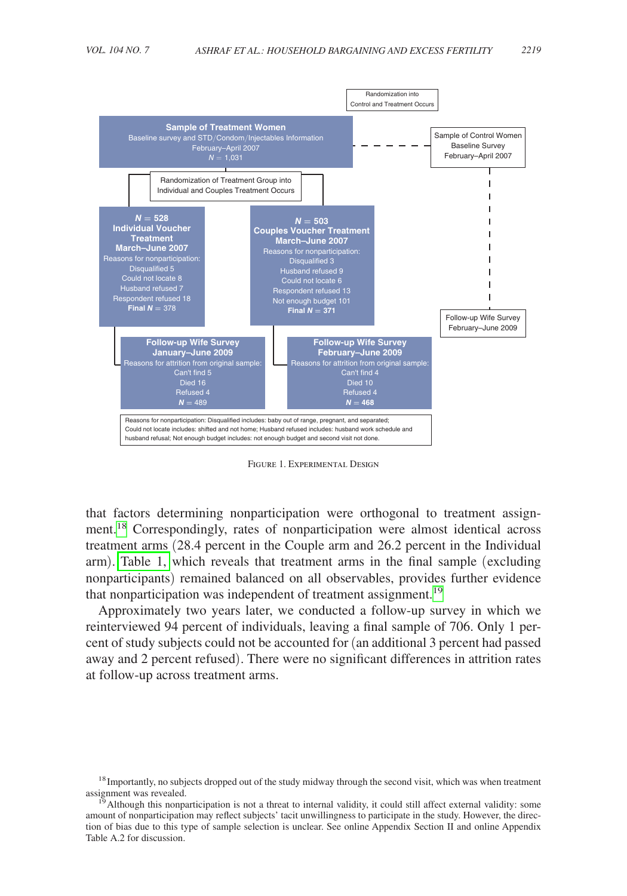<span id="page-9-0"></span>

Figure 1. Experimental Design

that factors determining nonparticipation were orthogonal to treatment assignment.<sup>18</sup> Correspondingly, rates of nonparticipation were almost identical across treatment arms (28.4 percent in the Couple arm and 26.2 percent in the Individual arm). [Table 1,](#page-10-0) which reveals that treatment arms in the final sample (excluding nonparticipants) remained balanced on all observables, provides further evidence that nonparticipation was independent of treatment assignment.<sup>[19](#page-9-2)</sup>

Approximately two years later, we conducted a follow-up survey in which we reinterviewed 94 percent of individuals, leaving a final sample of 706. Only 1 percent of study subjects could not be accounted for (an additional 3 percent had passed away and 2 percent refused). There were no significant differences in attrition rates at follow-up across treatment arms.

<span id="page-9-1"></span><sup>&</sup>lt;sup>18</sup> Importantly, no subjects dropped out of the study midway through the second visit, which was when treatment assignment was revealed.

<span id="page-9-2"></span> $1<sup>5</sup>$  Although this nonparticipation is not a threat to internal validity, it could still affect external validity: some amount of nonparticipation may reflect subjects' tacit unwillingness to participate in the study. However, the direction of bias due to this type of sample selection is unclear. See online Appendix Section II and online Appendix Table A.2 for discussion.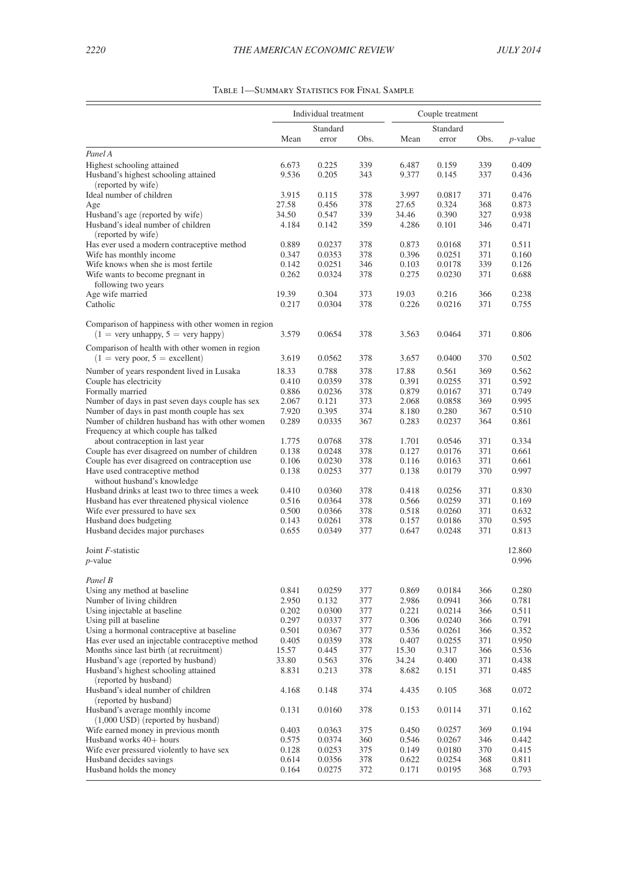<span id="page-10-0"></span>

|                                                                                                          | Individual treatment |                 | Couple treatment |                |                |            |                 |
|----------------------------------------------------------------------------------------------------------|----------------------|-----------------|------------------|----------------|----------------|------------|-----------------|
|                                                                                                          | Standard             |                 | Standard         |                |                |            |                 |
|                                                                                                          | Mean                 | error           | Obs.             | Mean           | error          | Obs.       | <i>p</i> -value |
| Panel A                                                                                                  |                      |                 |                  |                |                |            |                 |
| Highest schooling attained                                                                               | 6.673                | 0.225           | 339              | 6.487          | 0.159          | 339        | 0.409           |
| Husband's highest schooling attained<br>(reported by wife)                                               | 9.536                | 0.205           | 343              | 9.377          | 0.145          | 337        | 0.436           |
| Ideal number of children                                                                                 | 3.915                | 0.115           | 378              | 3.997          | 0.0817         | 371        | 0.476           |
| Age                                                                                                      | 27.58                | 0.456           | 378              | 27.65          | 0.324          | 368        | 0.873           |
| Husband's age (reported by wife)                                                                         | 34.50                | 0.547           | 339              | 34.46          | 0.390          | 327        | 0.938           |
| Husband's ideal number of children<br>(reported by wife)                                                 | 4.184                | 0.142           | 359              | 4.286          | 0.101          | 346        | 0.471           |
| Has ever used a modern contraceptive method                                                              | 0.889                | 0.0237          | 378              | 0.873          | 0.0168         | 371        | 0.511           |
| Wife has monthly income                                                                                  | 0.347                | 0.0353          | 378              | 0.396          | 0.0251         | 371        | 0.160           |
| Wife knows when she is most fertile                                                                      | 0.142                | 0.0251          | 346              | 0.103          | 0.0178         | 339        | 0.126           |
| Wife wants to become pregnant in<br>following two years                                                  | 0.262                | 0.0324          | 378              | 0.275          | 0.0230         | 371        | 0.688           |
| Age wife married                                                                                         | 19.39                | 0.304           | 373              | 19.03          | 0.216          | 366        | 0.238           |
| Catholic                                                                                                 | 0.217                | 0.0304          | 378              | 0.226          | 0.0216         | 371        | 0.755           |
| Comparison of happiness with other women in region<br>$(1 = \text{very unhappy}, 5 = \text{very happy})$ | 3.579                | 0.0654          | 378              | 3.563          | 0.0464         | 371        | 0.806           |
| Comparison of health with other women in region                                                          |                      |                 |                  |                |                |            |                 |
| $(1 = \text{very poor}, 5 = \text{excellent})$                                                           | 3.619                | 0.0562          | 378              | 3.657          | 0.0400         | 370        | 0.502           |
| Number of years respondent lived in Lusaka                                                               | 18.33                | 0.788           | 378              | 17.88          | 0.561          | 369        | 0.562           |
| Couple has electricity                                                                                   | 0.410                | 0.0359          | 378              | 0.391          | 0.0255         | 371        | 0.592           |
| Formally married                                                                                         | 0.886                | 0.0236          | 378              | 0.879          | 0.0167         | 371        | 0.749           |
| Number of days in past seven days couple has sex                                                         | 2.067                | 0.121           | 373              | 2.068          | 0.0858         | 369        | 0.995           |
| Number of days in past month couple has sex                                                              | 7.920                | 0.395           | 374              | 8.180          | 0.280          | 367        | 0.510           |
| Number of children husband has with other women<br>Frequency at which couple has talked                  | 0.289                | 0.0335          | 367              | 0.283          | 0.0237         | 364        | 0.861           |
| about contraception in last year                                                                         | 1.775                | 0.0768          | 378              | 1.701          | 0.0546         | 371        | 0.334           |
| Couple has ever disagreed on number of children                                                          | 0.138                | 0.0248          | 378              | 0.127          | 0.0176         | 371        | 0.661           |
| Couple has ever disagreed on contraception use                                                           | 0.106                | 0.0230          | 378              | 0.116          | 0.0163         | 371        | 0.661           |
| Have used contraceptive method<br>without husband's knowledge                                            | 0.138                | 0.0253          | 377              | 0.138          | 0.0179         | 370        | 0.997           |
| Husband drinks at least two to three times a week                                                        | 0.410                | 0.0360          | 378              | 0.418          | 0.0256         | 371        | 0.830           |
| Husband has ever threatened physical violence                                                            | 0.516                | 0.0364          | 378              | 0.566          | 0.0259         | 371        | 0.169           |
| Wife ever pressured to have sex                                                                          | 0.500                | 0.0366          | 378              | 0.518          | 0.0260         | 371        | 0.632           |
| Husband does budgeting                                                                                   | 0.143                | 0.0261          | 378              | 0.157          | 0.0186         | 370        | 0.595           |
| Husband decides major purchases                                                                          | 0.655                | 0.0349          | 377              | 0.647          | 0.0248         | 371        | 0.813           |
| Joint F-statistic                                                                                        |                      |                 |                  |                |                |            | 12.860          |
| $p$ -value                                                                                               |                      |                 |                  |                |                |            | 0.996           |
| Panel B                                                                                                  |                      |                 |                  |                |                |            |                 |
| Using any method at baseline                                                                             | 0.841                | 0.0259          | 377              | 0.869          | 0.0184         | 366        | 0.280           |
| Number of living children                                                                                | 2.950                | 0.132           | 377              | 2.986          | 0.0941         | 366        | 0.781           |
| Using injectable at baseline                                                                             | 0.202                | 0.0300          | 377              | 0.221          | 0.0214         | 366        | 0.511           |
| Using pill at baseline                                                                                   | 0.297                | 0.0337          | 377              | 0.306          | 0.0240         | 366        | 0.791<br>0.352  |
| Using a hormonal contraceptive at baseline<br>Has ever used an injectable contraceptive method           | 0.501                | 0.0367          | 377              | 0.536<br>0.407 | 0.0261         | 366<br>371 |                 |
| Months since last birth (at recruitment)                                                                 | 0.405<br>15.57       | 0.0359<br>0.445 | 378<br>377       |                | 0.0255         | 366        | 0.950<br>0.536  |
| Husband's age (reported by husband)                                                                      |                      |                 |                  | 15.30<br>34.24 | 0.317          |            | 0.438           |
| Husband's highest schooling attained                                                                     | 33.80<br>8.831       | 0.563<br>0.213  | 376<br>378       | 8.682          | 0.400<br>0.151 | 371<br>371 | 0.485           |
| (reported by husband)<br>Husband's ideal number of children                                              | 4.168                | 0.148           | 374              | 4.435          | 0.105          | 368        | 0.072           |
| (reported by husband)                                                                                    |                      |                 |                  |                |                |            |                 |
| Husband's average monthly income<br>$(1,000$ USD $)$ (reported by husband)                               | 0.131                | 0.0160          | 378              | 0.153          | 0.0114         | 371        | 0.162           |
| Wife earned money in previous month                                                                      | 0.403                | 0.0363          | 375              | 0.450          | 0.0257         | 369        | 0.194           |
| Husband works 40+ hours                                                                                  | 0.575                | 0.0374          | 360              | 0.546          | 0.0267         | 346        | 0.442           |
| Wife ever pressured violently to have sex                                                                | 0.128                | 0.0253          | 375              | 0.149          | 0.0180         | 370        | 0.415           |
| Husband decides savings                                                                                  | 0.614                | 0.0356          | 378              | 0.622          | 0.0254         | 368        | 0.811           |
| Husband holds the money                                                                                  | 0.164                | 0.0275          | 372              | 0.171          | 0.0195         | 368        | 0.793           |

| TABLE 1—SUMMARY STATISTICS FOR FINAL SAMPLE |  |  |
|---------------------------------------------|--|--|
|---------------------------------------------|--|--|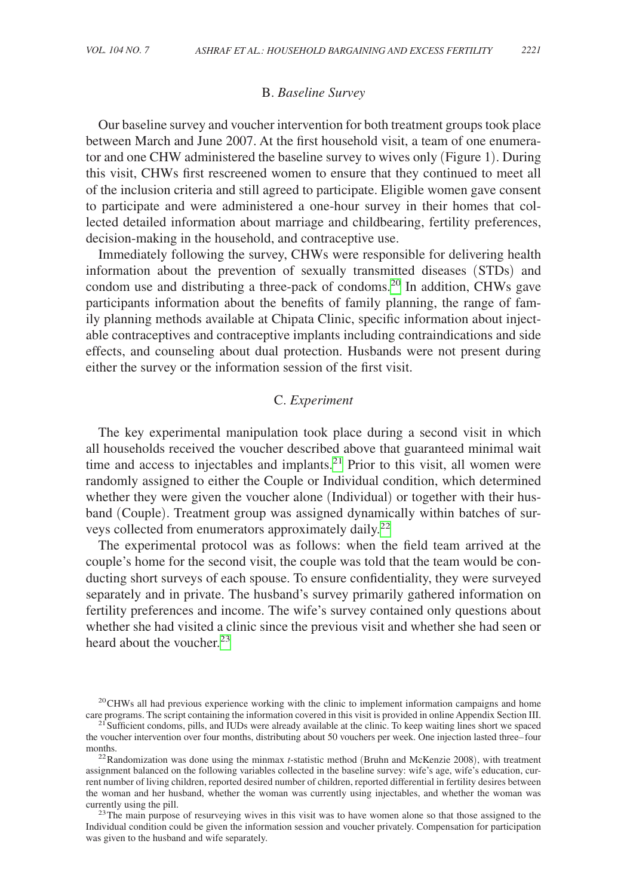## B. *Baseline Survey*

Our baseline survey and voucher intervention for both treatment groups took place between March and June 2007. At the first household visit, a team of one enumerator and one CHW administered the baseline survey to wives only (Figure 1). During this visit, CHWs first rescreened women to ensure that they continued to meet all of the inclusion criteria and still agreed to participate. Eligible women gave consent to participate and were administered a one-hour survey in their homes that collected detailed information about marriage and childbearing, fertility preferences, decision-making in the household, and contraceptive use.

Immediately following the survey, CHWs were responsible for delivering health information about the prevention of sexually transmitted diseases (STDs) and condom use and distributing a three-pack of condoms[.20](#page-11-0) In addition, CHWs gave participants information about the benefits of family planning, the range of family planning methods available at Chipata Clinic, specific information about injectable contraceptives and contraceptive implants including contraindications and side effects, and counseling about dual protection. Husbands were not present during either the survey or the information session of the first visit.

# C. *Experiment*

The key experimental manipulation took place during a second visit in which all households received the voucher described above that guaranteed minimal wait time and access to injectables and implants.<sup>21</sup> Prior to this visit, all women were randomly assigned to either the Couple or Individual condition, which determined whether they were given the voucher alone (Individual) or together with their husband (Couple). Treatment group was assigned dynamically within batches of sur-veys collected from enumerators approximately daily.<sup>[22](#page-11-2)</sup>

The experimental protocol was as follows: when the field team arrived at the couple's home for the second visit, the couple was told that the team would be conducting short surveys of each spouse. To ensure confidentiality, they were surveyed separately and in private. The husband's survey primarily gathered information on fertility preferences and income. The wife's survey contained only questions about whether she had visited a clinic since the previous visit and whether she had seen or heard about the voucher.<sup>[23](#page-11-3)</sup>

<span id="page-11-3"></span>Individual condition could be given the information session and voucher privately. Compensation for participation was given to the husband and wife separately.

<span id="page-11-0"></span> $^{20}$ CHWs all had previous experience working with the clinic to implement information campaigns and home care programs. The script containing the information covered in this visit is provided in online Appendix Section

<span id="page-11-1"></span> $^{21}$  Sufficient condoms, pills, and IUDs were already available at the clinic. To keep waiting lines short we spaced the voucher intervention over four months, distributing about 50 vouchers per week. One injection lasted three–four months.<br><sup>22</sup>Randomization was done using the minmax *t*-statistic method (Bruhn and McKenzie 2008), with treatment

<span id="page-11-2"></span>assignment balanced on the following variables collected in the baseline survey: wife's age, wife's education, current number of living children, reported desired number of children, reported differential in fertility desires between the woman and her husband, whether the woman was currently using injectables, and whether the woman was currently using the pill.  $^{23}$ The main purpose of resurveying wives in this visit was to have women alone so that those assigned to the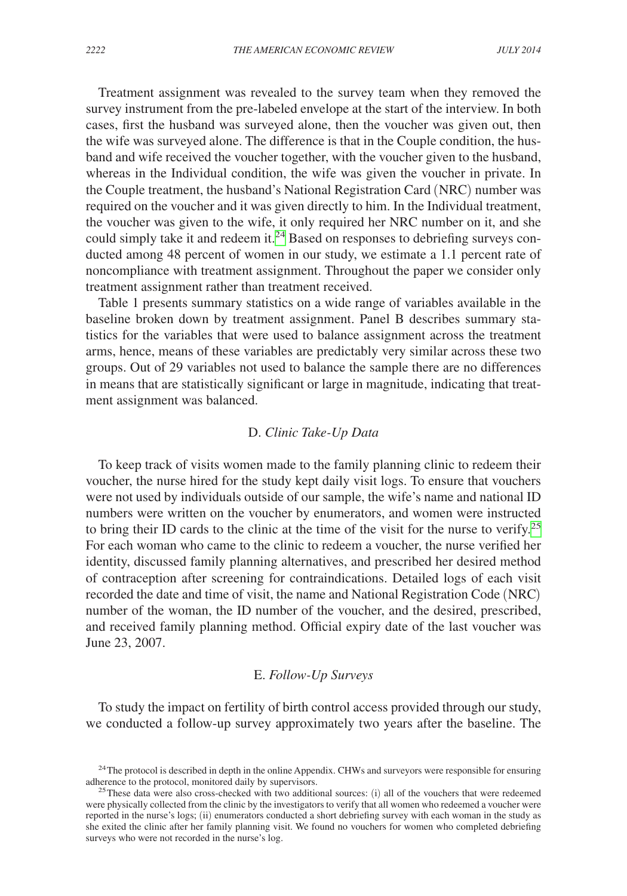Treatment assignment was revealed to the survey team when they removed the survey instrument from the pre-labeled envelope at the start of the interview. In both cases, first the husband was surveyed alone, then the voucher was given out, then the wife was surveyed alone. The difference is that in the Couple condition, the husband and wife received the voucher together, with the voucher given to the husband, whereas in the Individual condition, the wife was given the voucher in private. In the Couple treatment, the husband's National Registration Card (NRC) number was required on the voucher and it was given directly to him. In the Individual treatment, the voucher was given to the wife, it only required her NRC number on it, and she could simply take it and redeem it.<sup>[24](#page-12-0)</sup> Based on responses to debriefing surveys conducted among 48 percent of women in our study, we estimate a 1.1 percent rate of noncompliance with treatment assignment. Throughout the paper we consider only treatment assignment rather than treatment received.

Table 1 presents summary statistics on a wide range of variables available in the baseline broken down by treatment assignment. Panel B describes summary statistics for the variables that were used to balance assignment across the treatment arms, hence, means of these variables are predictably very similar across these two groups. Out of 29 variables not used to balance the sample there are no differences in means that are statistically significant or large in magnitude, indicating that treatment assignment was balanced.

## D. *Clinic Take-Up Data*

To keep track of visits women made to the family planning clinic to redeem their voucher, the nurse hired for the study kept daily visit logs. To ensure that vouchers were not used by individuals outside of our sample, the wife's name and national ID numbers were written on the voucher by enumerators, and women were instructed to bring their ID cards to the clinic at the time of the visit for the nurse to verify.<sup>[25](#page-12-1)</sup> For each woman who came to the clinic to redeem a voucher, the nurse verified her identity, discussed family planning alternatives, and prescribed her desired method of contraception after screening for contraindications. Detailed logs of each visit recorded the date and time of visit, the name and National Registration Code (NRC) number of the woman, the ID number of the voucher, and the desired, prescribed, and received family planning method. Official expiry date of the last voucher was June 23, 2007.

## E. *Follow-Up Surveys*

To study the impact on fertility of birth control access provided through our study, we conducted a follow-up survey approximately two years after the baseline. The

<span id="page-12-0"></span><sup>&</sup>lt;sup>24</sup>The protocol is described in depth in the online Appendix. CHWs and surveyors were responsible for ensuring adherence to the protocol, monitored daily by supervisors.<br><sup>25</sup>These data were also cross-checked with two additional sources: (i) all of the vouchers that were redeemed

<span id="page-12-1"></span>were physically collected from the clinic by the investigators to verify that all women who redeemed a voucher were reported in the nurse's logs; (ii) enumerators conducted a short debriefing survey with each woman in the study as she exited the clinic after her family planning visit. We found no vouchers for women who completed debriefing surveys who were not recorded in the nurse's log.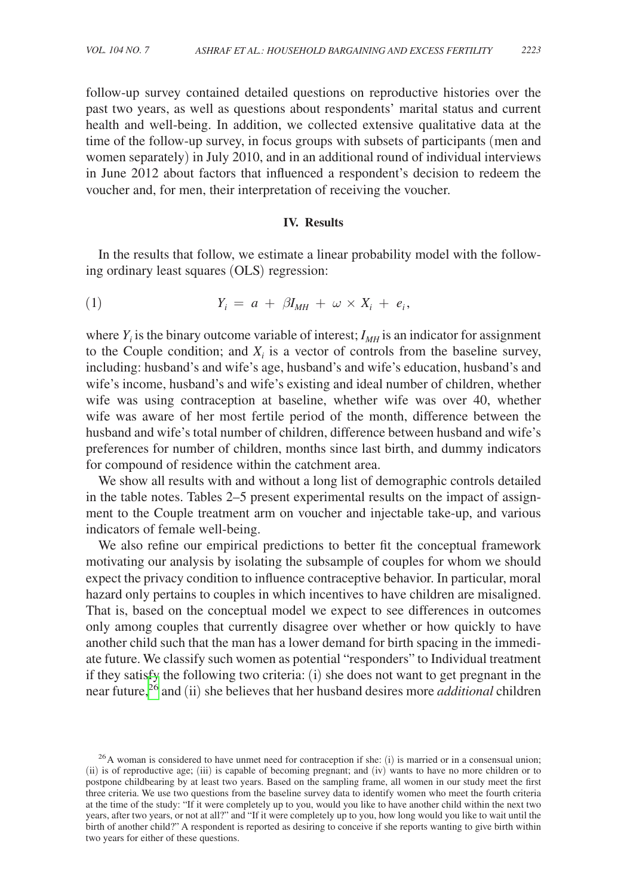follow-up survey contained detailed questions on reproductive histories over the past two years, as well as questions about respondents' marital status and current health and well-being. In addition, we collected extensive qualitative data at the time of the follow-up survey, in focus groups with subsets of participants (men and women separately) in July 2010, and in an additional round of individual interviews in June 2012 about factors that influenced a respondent's decision to redeem the voucher and, for men, their interpretation of receiving the voucher.

### **IV. Results**

In the results that follow, we estimate a linear probability model with the following ordinary least squares (OLS) regression:

$$
(1) \t Y_i = a + \beta I_{MH} + \omega \times X_i + e_i,
$$

where  $Y_i$  is the binary outcome variable of interest;  $I_{MH}$  is an indicator for assignment to the Couple condition; and  $X_i$  is a vector of controls from the baseline survey, including: husband's and wife's age, husband's and wife's education, husband's and wife's income, husband's and wife's existing and ideal number of children, whether wife was using contraception at baseline, whether wife was over 40, whether wife was aware of her most fertile period of the month, difference between the husband and wife's total number of children, difference between husband and wife's preferences for number of children, months since last birth, and dummy indicators for compound of residence within the catchment area.

We show all results with and without a long list of demographic controls detailed in the table notes. Tables 2–5 present experimental results on the impact of assignment to the Couple treatment arm on voucher and injectable take-up, and various indicators of female well-being.

We also refine our empirical predictions to better fit the conceptual framework motivating our analysis by isolating the subsample of couples for whom we should expect the privacy condition to influence contraceptive behavior. In particular, moral hazard only pertains to couples in which incentives to have children are misaligned. That is, based on the conceptual model we expect to see differences in outcomes only among couples that currently disagree over whether or how quickly to have another child such that the man has a lower demand for birth spacing in the immediate future. We classify such women as potential "responders" to Individual treatment if they satisfy the following two criteria: (i) she does not want to get pregnant in the near future[,26](#page-13-0) and (ii) she believes that her husband desires more *additional* children

<span id="page-13-0"></span> $^{26}$ A woman is considered to have unmet need for contraception if she: (i) is married or in a consensual union; (ii) is of reproductive age; (iii) is capable of becoming pregnant; and (iv) wants to have no more children or to postpone childbearing by at least two years. Based on the sampling frame, all women in our study meet the first three criteria. We use two questions from the baseline survey data to identify women who meet the fourth criteria at the time of the study: "If it were completely up to you, would you like to have another child within the next two years, after two years, or not at all?" and "If it were completely up to you, how long would you like to wait until the birth of another child?" A respondent is reported as desiring to conceive if she reports wanting to give birth within two years for either of these questions.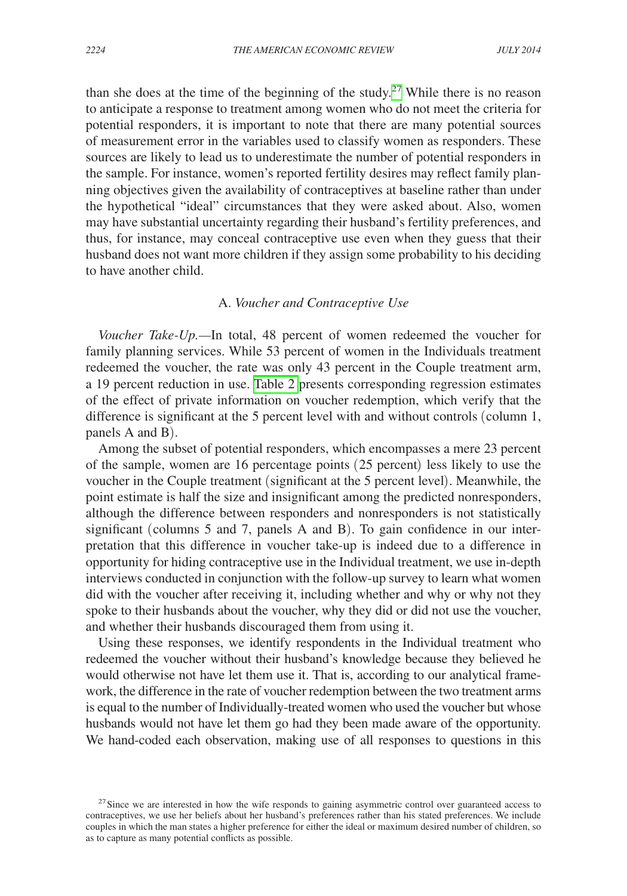than she does at the time of the beginning of the study.<sup>27</sup> While there is no reason to anticipate a response to treatment among women who do not meet the criteria for potential responders, it is important to note that there are many potential sources of measurement error in the variables used to classify women as responders. These sources are likely to lead us to underestimate the number of potential responders in the sample. For instance, women's reported fertility desires may reflect family planning objectives given the availability of contraceptives at baseline rather than under the hypothetical "ideal" circumstances that they were asked about. Also, women may have substantial uncertainty regarding their husband's fertility preferences, and thus, for instance, may conceal contraceptive use even when they guess that their husband does not want more children if they assign some probability to his deciding to have another child.

## A. *Voucher and Contraceptive Use*

*Voucher Take-Up.—*In total, 48 percent of women redeemed the voucher for family planning services. While 53 percent of women in the Individuals treatment redeemed the voucher, the rate was only 43 percent in the Couple treatment arm, a 19 percent reduction in use. [Table 2](#page-15-0) presents corresponding regression estimates of the effect of private information on voucher redemption, which verify that the difference is significant at the 5 percent level with and without controls (column 1, panels A and B).

Among the subset of potential responders, which encompasses a mere 23 percent of the sample, women are 16 percentage points (25 percent) less likely to use the voucher in the Couple treatment (significant at the 5 percent level). Meanwhile, the point estimate is half the size and insignificant among the predicted nonresponders, although the difference between responders and nonresponders is not statistically significant (columns 5 and 7, panels A and B). To gain confidence in our interpretation that this difference in voucher take-up is indeed due to a difference in opportunity for hiding contraceptive use in the Individual treatment, we use in-depth interviews conducted in conjunction with the follow-up survey to learn what women did with the voucher after receiving it, including whether and why or why not they spoke to their husbands about the voucher, why they did or did not use the voucher, and whether their husbands discouraged them from using it.

Using these responses, we identify respondents in the Individual treatment who redeemed the voucher without their husband's knowledge because they believed he would otherwise not have let them use it. That is, according to our analytical framework, the difference in the rate of voucher redemption between the two treatment arms is equal to the number of Individually-treated women who used the voucher but whose husbands would not have let them go had they been made aware of the opportunity. We hand-coded each observation, making use of all responses to questions in this

<span id="page-14-0"></span><sup>&</sup>lt;sup>27</sup> Since we are interested in how the wife responds to gaining asymmetric control over guaranteed access to contraceptives, we use her beliefs about her husband's preferences rather than his stated preferences. We include couples in which the man states a higher preference for either the ideal or maximum desired number of children, so as to capture as many potential conflicts as possible.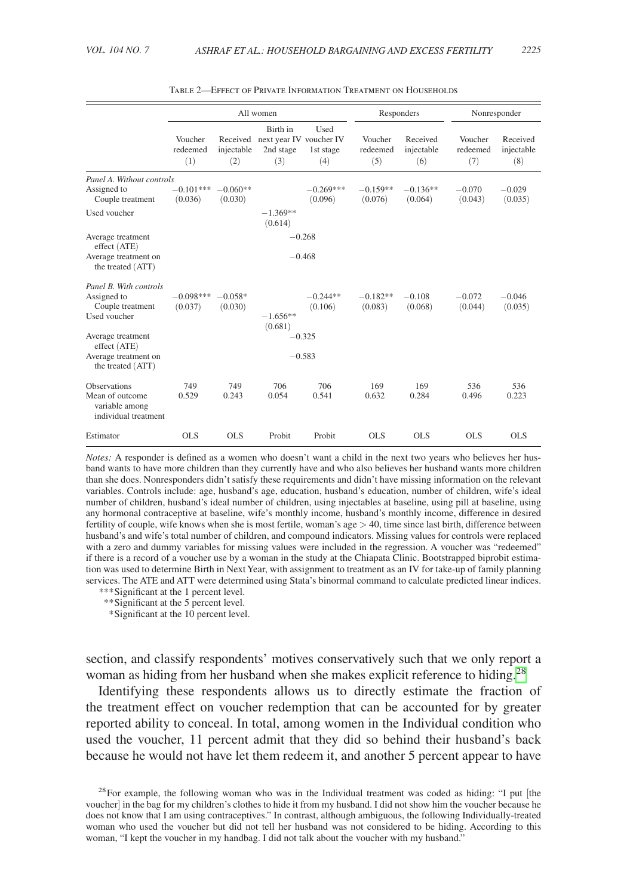<span id="page-15-0"></span>

|                                                                                                                | All women                  |                               | Responders                                              |                          |                            | Nonresponder                  |                            |                               |
|----------------------------------------------------------------------------------------------------------------|----------------------------|-------------------------------|---------------------------------------------------------|--------------------------|----------------------------|-------------------------------|----------------------------|-------------------------------|
|                                                                                                                | Voucher<br>redeemed<br>(1) | Received<br>injectable<br>(2) | Birth in<br>next year IV voucher IV<br>2nd stage<br>(3) | Used<br>1st stage<br>(4) | Voucher<br>redeemed<br>(5) | Received<br>injectable<br>(6) | Voucher<br>redeemed<br>(7) | Received<br>injectable<br>(8) |
| Panel A. Without controls<br>Assigned to<br>Couple treatment                                                   | $-0.101***$<br>(0.036)     | $-0.060**$<br>(0.030)         |                                                         | $-0.269***$<br>(0.096)   | $-0.159**$<br>(0.076)      | $-0.136**$<br>(0.064)         | $-0.070$<br>(0.043)        | $-0.029$<br>(0.035)           |
| Used voucher                                                                                                   |                            |                               | $-1.369**$<br>(0.614)                                   |                          |                            |                               |                            |                               |
| Average treatment<br>effect (ATE)<br>Average treatment on<br>the treated (ATT)                                 |                            |                               |                                                         | $-0.268$<br>$-0.468$     |                            |                               |                            |                               |
| Panel B. With controls<br>Assigned to<br>Couple treatment<br>Used voucher<br>Average treatment<br>effect (ATE) | $-0.098***$<br>(0.037)     | $-0.058*$<br>(0.030)          | $-1.656**$<br>(0.681)<br>$-0.325$                       | $-0.244**$<br>(0.106)    | $-0.182**$<br>(0.083)      | $-0.108$<br>(0.068)           | $-0.072$<br>(0.044)        | $-0.046$<br>(0.035)           |
| Average treatment on<br>the treated (ATT)                                                                      |                            |                               |                                                         | $-0.583$                 |                            |                               |                            |                               |
| Observations<br>Mean of outcome<br>variable among<br>individual treatment                                      | 749<br>0.529               | 749<br>0.243                  | 706<br>0.054                                            | 706<br>0.541             | 169<br>0.632               | 169<br>0.284                  | 536<br>0.496               | 536<br>0.223                  |
| Estimator                                                                                                      | <b>OLS</b>                 | <b>OLS</b>                    | Probit                                                  | Probit                   | <b>OLS</b>                 | OLS.                          | <b>OLS</b>                 | <b>OLS</b>                    |

|  | TABLE 2—EFFECT OF PRIVATE INFORMATION TREATMENT ON HOUSEHOLDS |
|--|---------------------------------------------------------------|
|--|---------------------------------------------------------------|

*Notes:* A responder is defined as a women who doesn't want a child in the next two years who believes her husband wants to have more children than they currently have and who also believes her husband wants more children than she does. Nonresponders didn't satisfy these requirements and didn't have missing information on the relevant variables. Controls include: age, husband's age, education, husband's education, number of children, wife's ideal number of children, husband's ideal number of children, using injectables at baseline, using pill at baseline, using any hormonal contraceptive at baseline, wife's monthly income, husband's monthly income, difference in desired fertility of couple, wife knows when she is most fertile, woman's age > 40, time since last birth, difference between husband's and wife's total number of children, and compound indicators. Missing values for controls were replaced with a zero and dummy variables for missing values were included in the regression. A voucher was "redeemed" if there is a record of a voucher use by a woman in the study at the Chiapata Clinic. Bootstrapped biprobit estimation was used to determine Birth in Next Year, with assignment to treatment as an IV for take-up of family planning services. The ATE and ATT were determined using Stata's binormal command to calculate predicted linear indices. *\*\*\**Significant at the 1 percent level.

*\*\**Significant at the 5 percent level.

 *\**Significant at the 10 percent level.

section, and classify respondents' motives conservatively such that we only report a woman as hiding from her husband when she makes explicit reference to hiding.<sup>[28](#page-15-1)</sup>

Identifying these respondents allows us to directly estimate the fraction of the treatment effect on voucher redemption that can be accounted for by greater reported ability to conceal. In total, among women in the Individual condition who used the voucher, 11 percent admit that they did so behind their husband's back because he would not have let them redeem it, and another 5 percent appear to have

<span id="page-15-1"></span><sup>28</sup> For example, the following woman who was in the Individual treatment was coded as hiding: "I put [the voucher] in the bag for my children's clothes to hide it from my husband. I did not show him the voucher because he does not know that I am using contraceptives." In contrast, although ambiguous, the following Individually-treated woman who used the voucher but did not tell her husband was not considered to be hiding. According to this woman, "I kept the voucher in my handbag. I did not talk about the voucher with my husband."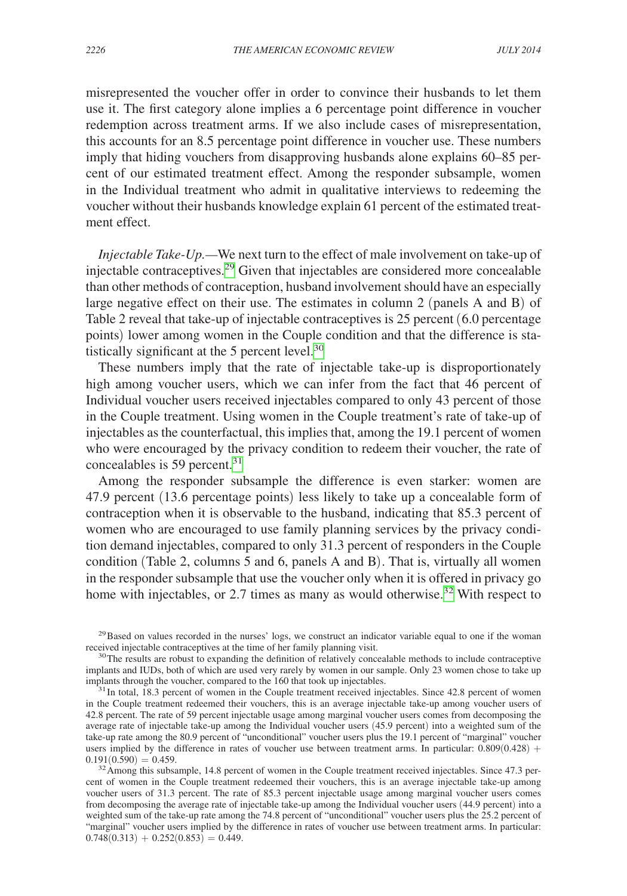misrepresented the voucher offer in order to convince their husbands to let them use it. The first category alone implies a 6 percentage point difference in voucher redemption across treatment arms. If we also include cases of misrepresentation, this accounts for an 8.5 percentage point difference in voucher use. These numbers imply that hiding vouchers from disapproving husbands alone explains 60–85 percent of our estimated treatment effect. Among the responder subsample, women in the Individual treatment who admit in qualitative interviews to redeeming the voucher without their husbands knowledge explain 61 percent of the estimated treatment effect.

*Injectable Take-Up.—*We next turn to the effect of male involvement on take-up of injectable contraceptives.[29](#page-16-0) Given that injectables are considered more concealable than other methods of contraception, husband involvement should have an especially large negative effect on their use. The estimates in column 2 (panels A and B) of Table 2 reveal that take-up of injectable contraceptives is 25 percent (6.0 percentage points) lower among women in the Couple condition and that the difference is statistically significant at the 5 percent level. $30$ 

These numbers imply that the rate of injectable take-up is disproportionately high among voucher users, which we can infer from the fact that 46 percent of Individual voucher users received injectables compared to only 43 percent of those in the Couple treatment. Using women in the Couple treatment's rate of take-up of injectables as the counterfactual, this implies that, among the 19.1 percent of women who were encouraged by the privacy condition to redeem their voucher, the rate of concealables is 59 percent. $31$ 

Among the responder subsample the difference is even starker: women are 47.9 percent (13.6 percentage points) less likely to take up a concealable form of contraception when it is observable to the husband, indicating that 85.3 percent of women who are encouraged to use family planning services by the privacy condition demand injectables, compared to only 31.3 percent of responders in the Couple condition (Table 2, columns 5 and 6, panels A and B). That is, virtually all women in the responder subsample that use the voucher only when it is offered in privacy go home with injectables, or 2.7 times as many as would otherwise.<sup>32</sup> With respect to

<span id="page-16-0"></span> $29$ Based on values recorded in the nurses' logs, we construct an indicator variable equal to one if the woman received injectable contraceptives at the time of her family planning visit.<br><sup>30</sup>The results are robust to expanding the definition of relatively concealable methods to include contraceptive

<span id="page-16-1"></span>implants and IUDs, both of which are used very rarely by women in our sample. Only 23 women chose to take up implants through the voucher, compared to the 160 that took up injectables.

<span id="page-16-2"></span><sup>&</sup>lt;sup>31</sup> In total, 18.3 percent of women in the Couple treatment received injectables. Since 42.8 percent of women in the Couple treatment redeemed their vouchers, this is an average injectable take-up among voucher users of 42.8 percent. The rate of 59 percent injectable usage among marginal voucher users comes from decomposing the average rate of injectable take-up among the Individual voucher users (45.9 percent) into a weighted sum of the take-up rate among the 80.9 percent of "unconditional" voucher users plus the 19.1 percent of "marginal" voucher users implied by the difference in rates of voucher use between treatment arms. In particular:  $0.809(0.428) + 0.191(0.590) = 0.459$ .

<span id="page-16-3"></span> $32$ Among this subsample, 14.8 percent of women in the Couple treatment received injectables. Since 47.3 percent of women in the Couple treatment redeemed their vouchers, this is an average injectable take-up among voucher users of 31.3 percent. The rate of 85.3 percent injectable usage among marginal voucher users comes from decomposing the average rate of injectable take-up among the Individual voucher users (44.9 percent) into a weighted sum of the take-up rate among the 74.8 percent of "unconditional" voucher users plus the 25.2 percent of "marginal" voucher users implied by the difference in rates of voucher use between treatment arms. In particular:  $0.748(0.313) + 0.252(0.853) = 0.449.$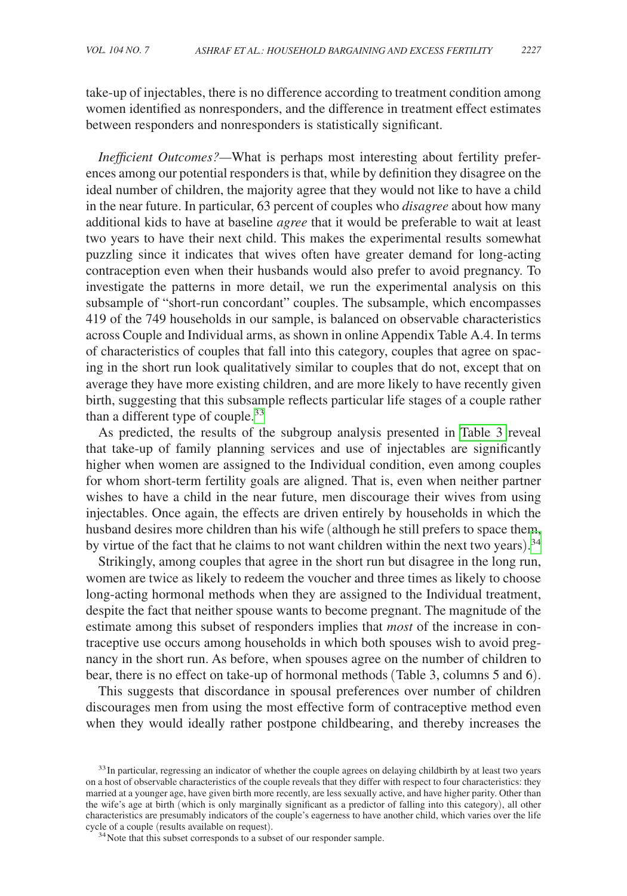take-up of injectables, there is no difference according to treatment condition among women identified as nonresponders, and the difference in treatment effect estimates between responders and nonresponders is statistically significant.

*Inefficient Outcomes?—*What is perhaps most interesting about fertility preferences among our potential responders is that, while by definition they disagree on the ideal number of children, the majority agree that they would not like to have a child in the near future. In particular, 63 percent of couples who *disagree* about how many additional kids to have at baseline *agree* that it would be preferable to wait at least two years to have their next child. This makes the experimental results somewhat puzzling since it indicates that wives often have greater demand for long-acting contraception even when their husbands would also prefer to avoid pregnancy. To investigate the patterns in more detail, we run the experimental analysis on this subsample of "short-run concordant" couples. The subsample, which encompasses 419 of the 749 households in our sample, is balanced on observable characteristics across Couple and Individual arms, as shown in online Appendix Table A.4. In terms of characteristics of couples that fall into this category, couples that agree on spacing in the short run look qualitatively similar to couples that do not, except that on average they have more existing children, and are more likely to have recently given birth, suggesting that this subsample reflects particular life stages of a couple rather than a different type of couple. $33$ 

As predicted, the results of the subgroup analysis presented in [Table 3](#page-18-0) reveal that take-up of family planning services and use of injectables are significantly higher when women are assigned to the Individual condition, even among couples for whom short-term fertility goals are aligned. That is, even when neither partner wishes to have a child in the near future, men discourage their wives from using injectables. Once again, the effects are driven entirely by households in which the husband desires more children than his wife (although he still prefers to space them, by virtue of the fact that he claims to not want children within the next two years).<sup>[34](#page-17-1)</sup>

Strikingly, among couples that agree in the short run but disagree in the long run, women are twice as likely to redeem the voucher and three times as likely to choose long-acting hormonal methods when they are assigned to the Individual treatment, despite the fact that neither spouse wants to become pregnant. The magnitude of the estimate among this subset of responders implies that *most* of the increase in contraceptive use occurs among households in which both spouses wish to avoid pregnancy in the short run. As before, when spouses agree on the number of children to bear, there is no effect on take-up of hormonal methods (Table 3, columns 5 and 6).

This suggests that discordance in spousal preferences over number of children discourages men from using the most effective form of contraceptive method even when they would ideally rather postpone childbearing, and thereby increases the

<span id="page-17-0"></span><sup>&</sup>lt;sup>33</sup>In particular, regressing an indicator of whether the couple agrees on delaying childbirth by at least two years on a host of observable characteristics of the couple reveals that they differ with respect to four characteristics: they married at a younger age, have given birth more recently, are less sexually active, and have higher parity. Other than the wife's age at birth (which is only marginally significant as a predictor of falling into this category), all other characteristics are presumably indicators of the couple's eagerness to have another child, which varies over the life cycle of a couple (results available on request). <sup>34</sup>Note that this subset corresponds to a subset of our responder sample.

<span id="page-17-1"></span>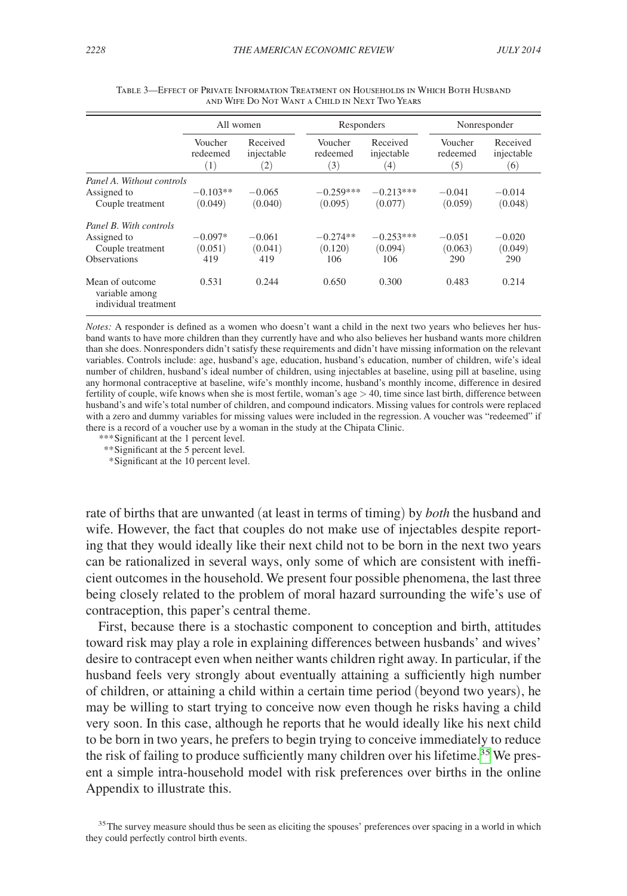<span id="page-18-0"></span>

|                                                           | All women                  |                               | Responders                 |                               |                            | Nonresponder                  |  |
|-----------------------------------------------------------|----------------------------|-------------------------------|----------------------------|-------------------------------|----------------------------|-------------------------------|--|
|                                                           | Voucher<br>redeemed<br>(1) | Received<br>injectable<br>(2) | Voucher<br>redeemed<br>(3) | Received<br>injectable<br>(4) | Voucher<br>redeemed<br>(5) | Received<br>injectable<br>(6) |  |
| Panel A. Without controls                                 |                            |                               |                            |                               |                            |                               |  |
| Assigned to<br>Couple treatment                           | $-0.103**$<br>(0.049)      | $-0.065$<br>(0.040)           | $-0.259***$<br>(0.095)     | $-0.213***$<br>(0.077)        | $-0.041$<br>(0.059)        | $-0.014$<br>(0.048)           |  |
| Panel B. With controls                                    |                            |                               |                            |                               |                            |                               |  |
| Assigned to<br>Couple treatment                           | $-0.097*$<br>(0.051)       | $-0.061$<br>(0.041)           | $-0.274**$<br>(0.120)      | $-0.253***$<br>(0.094)        | $-0.051$<br>(0.063)        | $-0.020$<br>(0.049)           |  |
| <b>Observations</b>                                       | 419                        | 419                           | 106                        | 106                           | 290                        | 290                           |  |
| Mean of outcome<br>variable among<br>individual treatment | 0.531                      | 0.244                         | 0.650                      | 0.300                         | 0.483                      | 0.214                         |  |

Table 3—Effect of Private Information Treatment on Households in Which Both Husband and Wife Do Not Want a Child in Next Two Years

*Notes:* A responder is defined as a women who doesn't want a child in the next two years who believes her husband wants to have more children than they currently have and who also believes her husband wants more children than she does. Nonresponders didn't satisfy these requirements and didn't have missing information on the relevant variables. Controls include: age, husband's age, education, husband's education, number of children, wife's ideal number of children, husband's ideal number of children, using injectables at baseline, using pill at baseline, using any hormonal contraceptive at baseline, wife's monthly income, husband's monthly income, difference in desired fertility of couple, wife knows when she is most fertile, woman's age  $> 40$ , time since last birth, difference between husband's and wife's total number of children, and compound indicators. Missing values for controls were replaced with a zero and dummy variables for missing values were included in the regression. A voucher was "redeemed" if there is a record of a voucher use by a woman in the study at the Chipata Clinic.

*\*\*\**Significant at the 1 percent level.

*\*\**Significant at the 5 percent level.

 *\**Significant at the 10 percent level.

rate of births that are unwanted (at least in terms of timing) by *both* the husband and wife. However, the fact that couples do not make use of injectables despite reporting that they would ideally like their next child not to be born in the next two years can be rationalized in several ways, only some of which are consistent with inefficient outcomes in the household. We present four possible phenomena, the last three being closely related to the problem of moral hazard surrounding the wife's use of contraception, this paper's central theme.

First, because there is a stochastic component to conception and birth, attitudes toward risk may play a role in explaining differences between husbands' and wives' desire to contracept even when neither wants children right away. In particular, if the husband feels very strongly about eventually attaining a sufficiently high number of children, or attaining a child within a certain time period (beyond two years), he may be willing to start trying to conceive now even though he risks having a child very soon. In this case, although he reports that he would ideally like his next child to be born in two years, he prefers to begin trying to conceive immediately to reduce the risk of failing to produce sufficiently many children over his lifetime.<sup>[35](#page-18-1)</sup> We present a simple intra-household model with risk preferences over births in the online Appendix to illustrate this.

<span id="page-18-1"></span><sup>35</sup>The survey measure should thus be seen as eliciting the spouses' preferences over spacing in a world in which they could perfectly control birth events.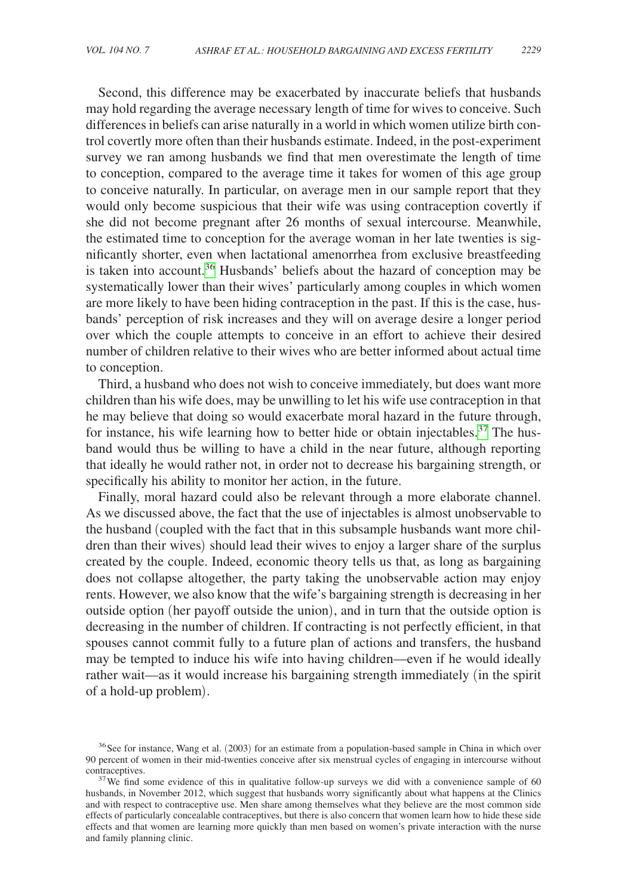Second, this difference may be exacerbated by inaccurate beliefs that husbands may hold regarding the average necessary length of time for wives to conceive. Such differences in beliefs can arise naturally in a world in which women utilize birth control covertly more often than their husbands estimate. Indeed, in the post-experiment survey we ran among husbands we find that men overestimate the length of time to conception, compared to the average time it takes for women of this age group to conceive naturally. In particular, on average men in our sample report that they would only become suspicious that their wife was using contraception covertly if she did not become pregnant after 26 months of sexual intercourse. Meanwhile, the estimated time to conception for the average woman in her late twenties is significantly shorter, even when lactational amenorrhea from exclusive breastfeeding is taken into account.<sup>36</sup> Husbands' beliefs about the hazard of conception may be systematically lower than their wives' particularly among couples in which women are more likely to have been hiding contraception in the past. If this is the case, husbands' perception of risk increases and they will on average desire a longer period over which the couple attempts to conceive in an effort to achieve their desired number of children relative to their wives who are better informed about actual time to conception.

Third, a husband who does not wish to conceive immediately, but does want more children than his wife does, may be unwilling to let his wife use contraception in that he may believe that doing so would exacerbate moral hazard in the future through, for instance, his wife learning how to better hide or obtain injectables.<sup>[37](#page-19-1)</sup> The husband would thus be willing to have a child in the near future, although reporting that ideally he would rather not, in order not to decrease his bargaining strength, or specifically his ability to monitor her action, in the future.

Finally, moral hazard could also be relevant through a more elaborate channel. As we discussed above, the fact that the use of injectables is almost unobservable to the husband (coupled with the fact that in this subsample husbands want more children than their wives) should lead their wives to enjoy a larger share of the surplus created by the couple. Indeed, economic theory tells us that, as long as bargaining does not collapse altogether, the party taking the unobservable action may enjoy rents. However, we also know that the wife's bargaining strength is decreasing in her outside option (her payoff outside the union), and in turn that the outside option is decreasing in the number of children. If contracting is not perfectly efficient, in that spouses cannot commit fully to a future plan of actions and transfers, the husband may be tempted to induce his wife into having children—even if he would ideally rather wait—as it would increase his bargaining strength immediately (in the spirit of a hold-up problem).

<span id="page-19-0"></span><sup>&</sup>lt;sup>36</sup>See for instance, Wang et al. (2003) for an estimate from a population-based sample in China in which over 90 percent of women in their mid-twenties conceive after six menstrual cycles of engaging in intercourse without contraceptives.<br><sup>37</sup>We find some evidence of this in qualitative follow-up surveys we did with a convenience sample of 60

<span id="page-19-1"></span>husbands, in November 2012, which suggest that husbands worry significantly about what happens at the Clinics and with respect to contraceptive use. Men share among themselves what they believe are the most common side effects of particularly concealable contraceptives, but there is also concern that women learn how to hide these side effects and that women are learning more quickly than men based on women's private interaction with the nurse and family planning clinic.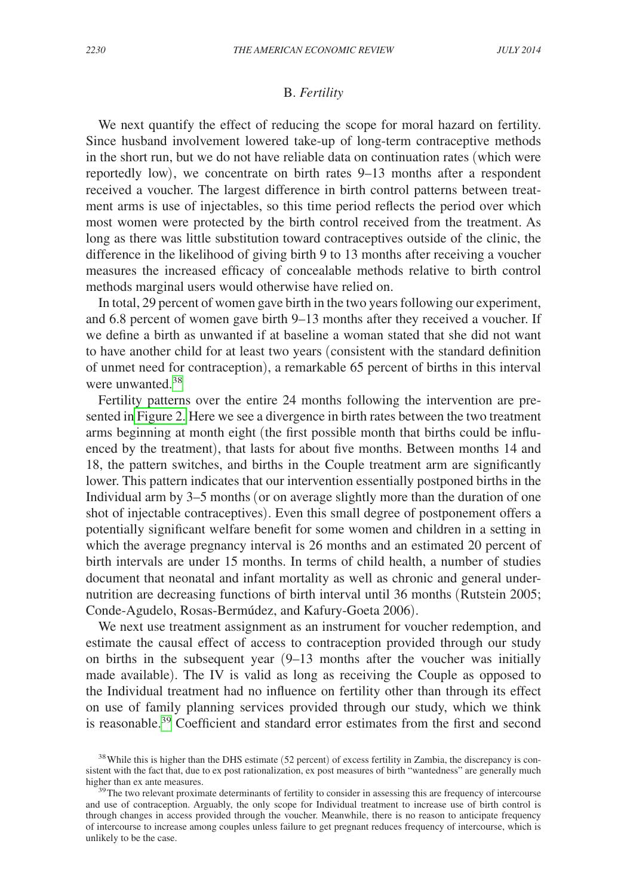# B. *Fertility*

We next quantify the effect of reducing the scope for moral hazard on fertility. Since husband involvement lowered take-up of long-term contraceptive methods in the short run, but we do not have reliable data on continuation rates (which were reportedly low), we concentrate on birth rates 9–13 months after a respondent received a voucher. The largest difference in birth control patterns between treatment arms is use of injectables, so this time period reflects the period over which most women were protected by the birth control received from the treatment. As long as there was little substitution toward contraceptives outside of the clinic, the difference in the likelihood of giving birth 9 to 13 months after receiving a voucher measures the increased efficacy of concealable methods relative to birth control methods marginal users would otherwise have relied on.

In total, 29 percent of women gave birth in the two years following our experiment, and 6.8 percent of women gave birth 9–13 months after they received a voucher. If we define a birth as unwanted if at baseline a woman stated that she did not want to have another child for at least two years (consistent with the standard definition of unmet need for contraception), a remarkable 65 percent of births in this interval were unwanted.<sup>[38](#page-20-0)</sup>

Fertility patterns over the entire 24 months following the intervention are presented in [Figure 2.](#page-21-0) Here we see a divergence in birth rates between the two treatment arms beginning at month eight (the first possible month that births could be influenced by the treatment), that lasts for about five months. Between months 14 and 18, the pattern switches, and births in the Couple treatment arm are significantly lower. This pattern indicates that our intervention essentially postponed births in the Individual arm by 3–5 months (or on average slightly more than the duration of one shot of injectable contraceptives). Even this small degree of postponement offers a potentially significant welfare benefit for some women and children in a setting in which the average pregnancy interval is 26 months and an estimated 20 percent of birth intervals are under 15 months. In terms of child health, a number of studies document that neonatal and infant mortality as well as chronic and general undernutrition are decreasing functions of birth interval until 36 months (Rutstein 2005; Conde-Agudelo, Rosas-Bermúdez, and Kafury-Goeta 2006).

We next use treatment assignment as an instrument for voucher redemption, and estimate the causal effect of access to contraception provided through our study on births in the subsequent year  $(9-13)$  months after the voucher was initially made available). The IV is valid as long as receiving the Couple as opposed to the Individual treatment had no influence on fertility other than through its effect on use of family planning services provided through our study, which we think is reasonable.[39](#page-20-1) Coefficient and standard error estimates from the first and second

<span id="page-20-0"></span><sup>&</sup>lt;sup>38</sup> While this is higher than the DHS estimate (52 percent) of excess fertility in Zambia, the discrepancy is consistent with the fact that, due to ex post rationalization, ex post measures of birth "wantedness" are generally much higher than ex ante measures.<br><sup>39</sup>The two relevant proximate determinants of fertility to consider in assessing this are frequency of intercourse

<span id="page-20-1"></span>and use of contraception. Arguably, the only scope for Individual treatment to increase use of birth control is through changes in access provided through the voucher. Meanwhile, there is no reason to anticipate frequency of intercourse to increase among couples unless failure to get pregnant reduces frequency of intercourse, which is unlikely to be the case.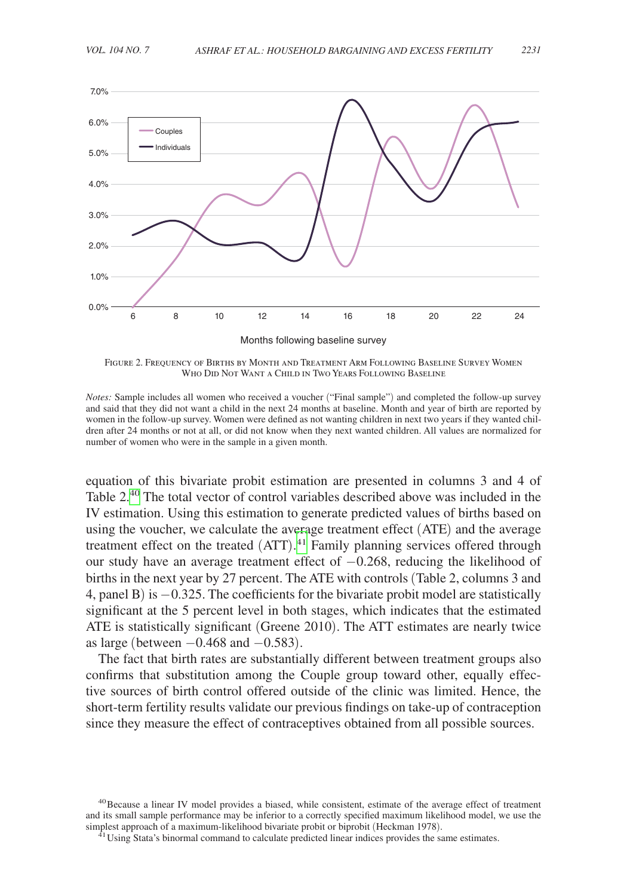<span id="page-21-0"></span>

Figure 2. Frequency of Births by Month and Treatment Arm Following Baseline Survey Women Who Did Not Want a Child in Two Years Following Baseline

*Notes:* Sample includes all women who received a voucher ("Final sample") and completed the follow-up survey and said that they did not want a child in the next 24 months at baseline. Month and year of birth are reported by women in the follow-up survey. Women were defined as not wanting children in next two years if they wanted children after 24 months or not at all, or did not know when they next wanted children. All values are normalized for number of women who were in the sample in a given month.

equation of this bivariate probit estimation are presented in columns 3 and 4 of Table 2<sup>40</sup> The total vector of control variables described above was included in the IV estimation. Using this estimation to generate predicted values of births based on using the voucher, we calculate the average treatment effect (ATE) and the average treatment effect on the treated (ATT). [41](#page-21-2) Family planning services offered through our study have an average treatment effect of −0.268, reducing the likelihood of births in the next year by 27 percent. The ATE with controls (Table 2, columns 3 and 4, panel B) is −0.325. The coefficients for the bivariate probit model are statistically significant at the 5 percent level in both stages, which indicates that the estimated ATE is statistically significant (Greene 2010). The ATT estimates are nearly twice as large (between  $-0.468$  and  $-0.583$ ).

The fact that birth rates are substantially different between treatment groups also confirms that substitution among the Couple group toward other, equally effective sources of birth control offered outside of the clinic was limited. Hence, the short-term fertility results validate our previous findings on take-up of contraception since they measure the effect of contraceptives obtained from all possible sources.

<span id="page-21-1"></span><sup>40</sup>Because a linear IV model provides a biased, while consistent, estimate of the average effect of treatment and its small sample performance may be inferior to a correctly specified maximum likelihood model, we use the simplest approach of a maximum-likelihood bivariate probit or biprobit (Heckman 1978).

<span id="page-21-2"></span> $^{41}$  Using Stata's binormal command to calculate predicted linear indices provides the same estimates.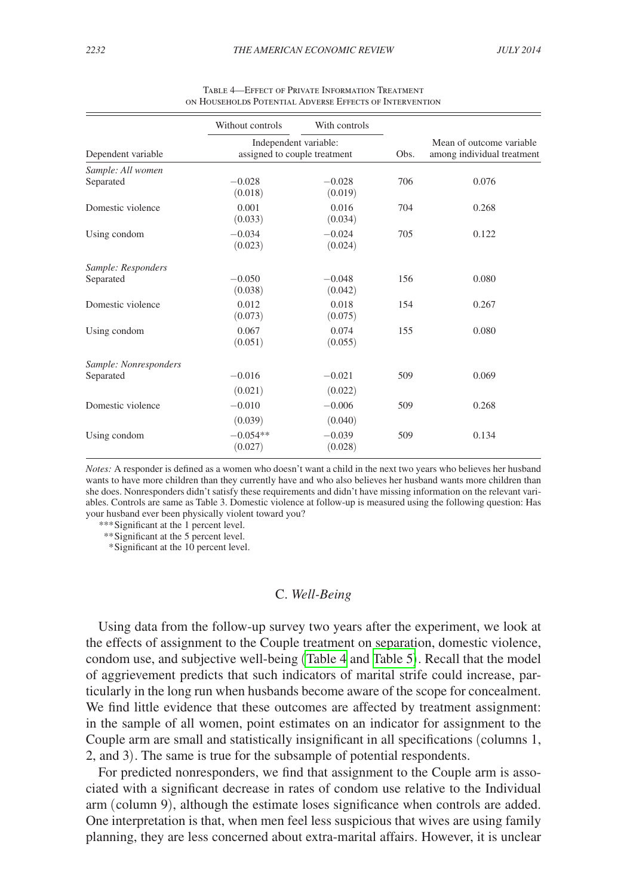|                                    | Without controls                                      | With controls       |      |                                                        |
|------------------------------------|-------------------------------------------------------|---------------------|------|--------------------------------------------------------|
| Dependent variable                 | Independent variable:<br>assigned to couple treatment |                     | Obs. | Mean of outcome variable<br>among individual treatment |
| Sample: All women<br>Separated     | $-0.028$<br>(0.018)                                   | $-0.028$<br>(0.019) | 706  | 0.076                                                  |
| Domestic violence                  | 0.001<br>(0.033)                                      | 0.016<br>(0.034)    | 704  | 0.268                                                  |
| Using condom                       | $-0.034$<br>(0.023)                                   | $-0.024$<br>(0.024) | 705  | 0.122                                                  |
| Sample: Responders<br>Separated    | $-0.050$<br>(0.038)                                   | $-0.048$<br>(0.042) | 156  | 0.080                                                  |
| Domestic violence                  | 0.012<br>(0.073)                                      | 0.018<br>(0.075)    | 154  | 0.267                                                  |
| Using condom                       | 0.067<br>(0.051)                                      | 0.074<br>(0.055)    | 155  | 0.080                                                  |
| Sample: Nonresponders<br>Separated | $-0.016$<br>(0.021)                                   | $-0.021$<br>(0.022) | 509  | 0.069                                                  |
| Domestic violence                  | $-0.010$<br>(0.039)                                   | $-0.006$<br>(0.040) | 509  | 0.268                                                  |
| Using condom                       | $-0.054**$<br>(0.027)                                 | $-0.039$<br>(0.028) | 509  | 0.134                                                  |

| <b>TABLE 4-EFFECT OF PRIVATE INFORMATION TREATMENT</b>  |  |
|---------------------------------------------------------|--|
| ON HOUSEHOLDS POTENTIAL ADVERSE EFFECTS OF INTERVENTION |  |

*Notes:* A responder is defined as a women who doesn't want a child in the next two years who believes her husband wants to have more children than they currently have and who also believes her husband wants more children than she does. Nonresponders didn't satisfy these requirements and didn't have missing information on the relevant variables. Controls are same as Table 3. Domestic violence at follow-up is measured using the following question: Has your husband ever been physically violent toward you?

*\*\*\**Significant at the 1 percent level.

*\*\**Significant at the 5 percent level.

 *\**Significant at the 10 percent level.

#### C. *Well-Being*

Using data from the follow-up survey two years after the experiment, we look at the effects of assignment to the Couple treatment on separation, domestic violence, condom use, and subjective well-being (Table 4 and [Table 5](#page-23-0)). Recall that the model of aggrievement predicts that such indicators of marital strife could increase, particularly in the long run when husbands become aware of the scope for concealment. We find little evidence that these outcomes are affected by treatment assignment: in the sample of all women, point estimates on an indicator for assignment to the Couple arm are small and statistically insignificant in all specifications (columns 1, 2, and 3). The same is true for the subsample of potential respondents.

For predicted nonresponders, we find that assignment to the Couple arm is associated with a significant decrease in rates of condom use relative to the Individual arm (column 9), although the estimate loses significance when controls are added. One interpretation is that, when men feel less suspicious that wives are using family planning, they are less concerned about extra-marital affairs. However, it is unclear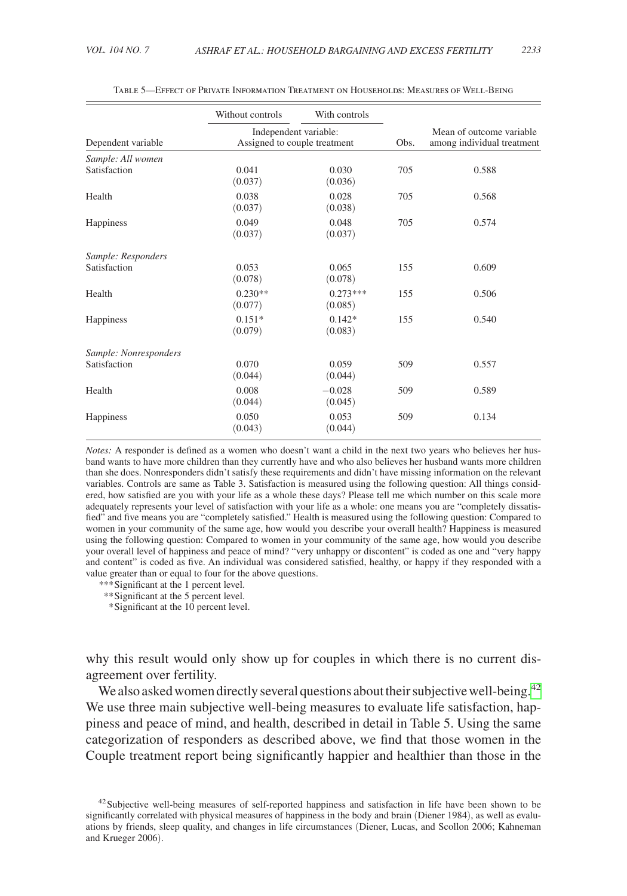<span id="page-23-0"></span>

|                       | Without controls                                      | With controls         |      |                                                        |
|-----------------------|-------------------------------------------------------|-----------------------|------|--------------------------------------------------------|
| Dependent variable    | Independent variable:<br>Assigned to couple treatment |                       | Obs. | Mean of outcome variable<br>among individual treatment |
| Sample: All women     |                                                       |                       |      |                                                        |
| Satisfaction          | 0.041<br>(0.037)                                      | 0.030<br>(0.036)      | 705  | 0.588                                                  |
| Health                | 0.038<br>(0.037)                                      | 0.028<br>(0.038)      | 705  | 0.568                                                  |
| Happiness             | 0.049<br>(0.037)                                      | 0.048<br>(0.037)      | 705  | 0.574                                                  |
| Sample: Responders    |                                                       |                       |      |                                                        |
| Satisfaction          | 0.053<br>(0.078)                                      | 0.065<br>(0.078)      | 155  | 0.609                                                  |
| Health                | $0.230**$<br>(0.077)                                  | $0.273***$<br>(0.085) | 155  | 0.506                                                  |
| Happiness             | $0.151*$<br>(0.079)                                   | $0.142*$<br>(0.083)   | 155  | 0.540                                                  |
| Sample: Nonresponders |                                                       |                       |      |                                                        |
| Satisfaction          | 0.070<br>(0.044)                                      | 0.059<br>(0.044)      | 509  | 0.557                                                  |
| Health                | 0.008<br>(0.044)                                      | $-0.028$<br>(0.045)   | 509  | 0.589                                                  |
| Happiness             | 0.050<br>(0.043)                                      | 0.053<br>(0.044)      | 509  | 0.134                                                  |

Table 5—Effect of Private Information Treatment on Households: Measures of Well-Being

*Notes:* A responder is defined as a women who doesn't want a child in the next two years who believes her husband wants to have more children than they currently have and who also believes her husband wants more children than she does. Nonresponders didn't satisfy these requirements and didn't have missing information on the relevant variables. Controls are same as Table 3. Satisfaction is measured using the following question: All things considered, how satisfied are you with your life as a whole these days? Please tell me which number on this scale more adequately represents your level of satisfaction with your life as a whole: one means you are "completely dissatisfied" and five means you are "completely satisfied." Health is measured using the following question: Compared to women in your community of the same age, how would you describe your overall health? Happiness is measured using the following question: Compared to women in your community of the same age, how would you describe your overall level of happiness and peace of mind? "very unhappy or discontent" is coded as one and "very happy and content" is coded as five. An individual was considered satisfied, healthy, or happy if they responded with a value greater than or equal to four for the above questions.

*\*\*\**Significant at the 1 percent level.

*\*\**Significant at the 5 percent level.

 *\**Significant at the 10 percent level.

why this result would only show up for couples in which there is no current disagreement over fertility.

We also asked women directly several questions about their subjective well-being.<sup>[42](#page-23-1)</sup> We use three main subjective well-being measures to evaluate life satisfaction, happiness and peace of mind, and health, described in detail in Table 5. Using the same categorization of responders as described above, we find that those women in the Couple treatment report being significantly happier and healthier than those in the

<span id="page-23-1"></span><sup>42</sup>Subjective well-being measures of self-reported happiness and satisfaction in life have been shown to be significantly correlated with physical measures of happiness in the body and brain (Diener 1984), as well as evaluations by friends, sleep quality, and changes in life circumstances (Diener, Lucas, and Scollon 2006; Kahneman and Krueger 2006).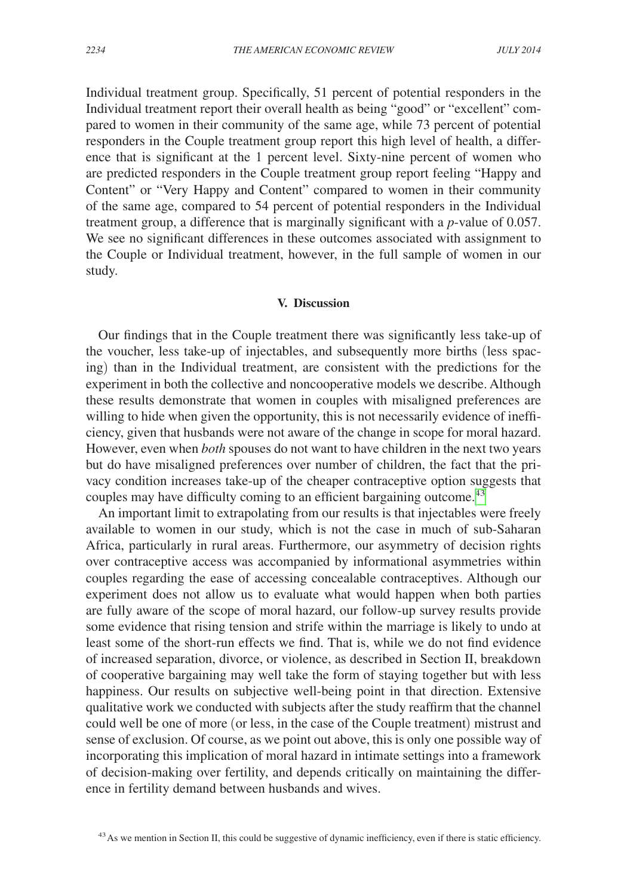Individual treatment group. Specifically, 51 percent of potential responders in the Individual treatment report their overall health as being "good" or "excellent" compared to women in their community of the same age, while 73 percent of potential responders in the Couple treatment group report this high level of health, a difference that is significant at the 1 percent level. Sixty-nine percent of women who are predicted responders in the Couple treatment group report feeling "Happy and Content" or "Very Happy and Content" compared to women in their community of the same age, compared to 54 percent of potential responders in the Individual treatment group, a difference that is marginally significant with a *p*-value of 0.057. We see no significant differences in these outcomes associated with assignment to the Couple or Individual treatment, however, in the full sample of women in our study.

### **V. Discussion**

Our findings that in the Couple treatment there was significantly less take-up of the voucher, less take-up of injectables, and subsequently more births (less spacing) than in the Individual treatment, are consistent with the predictions for the experiment in both the collective and noncooperative models we describe. Although these results demonstrate that women in couples with misaligned preferences are willing to hide when given the opportunity, this is not necessarily evidence of inefficiency, given that husbands were not aware of the change in scope for moral hazard. However, even when *both* spouses do not want to have children in the next two years but do have misaligned preferences over number of children, the fact that the privacy condition increases take-up of the cheaper contraceptive option suggests that couples may have difficulty coming to an efficient bargaining outcome.<sup>[43](#page-24-0)</sup>

An important limit to extrapolating from our results is that injectables were freely available to women in our study, which is not the case in much of sub-Saharan Africa, particularly in rural areas. Furthermore, our asymmetry of decision rights over contraceptive access was accompanied by informational asymmetries within couples regarding the ease of accessing concealable contraceptives. Although our experiment does not allow us to evaluate what would happen when both parties are fully aware of the scope of moral hazard, our follow-up survey results provide some evidence that rising tension and strife within the marriage is likely to undo at least some of the short-run effects we find. That is, while we do not find evidence of increased separation, divorce, or violence, as described in Section II, breakdown of cooperative bargaining may well take the form of staying together but with less happiness. Our results on subjective well-being point in that direction. Extensive qualitative work we conducted with subjects after the study reaffirm that the channel could well be one of more (or less, in the case of the Couple treatment) mistrust and sense of exclusion. Of course, as we point out above, this is only one possible way of incorporating this implication of moral hazard in intimate settings into a framework of decision-making over fertility, and depends critically on maintaining the difference in fertility demand between husbands and wives.

<span id="page-24-0"></span><sup>&</sup>lt;sup>43</sup> As we mention in Section II, this could be suggestive of dynamic inefficiency, even if there is static efficiency.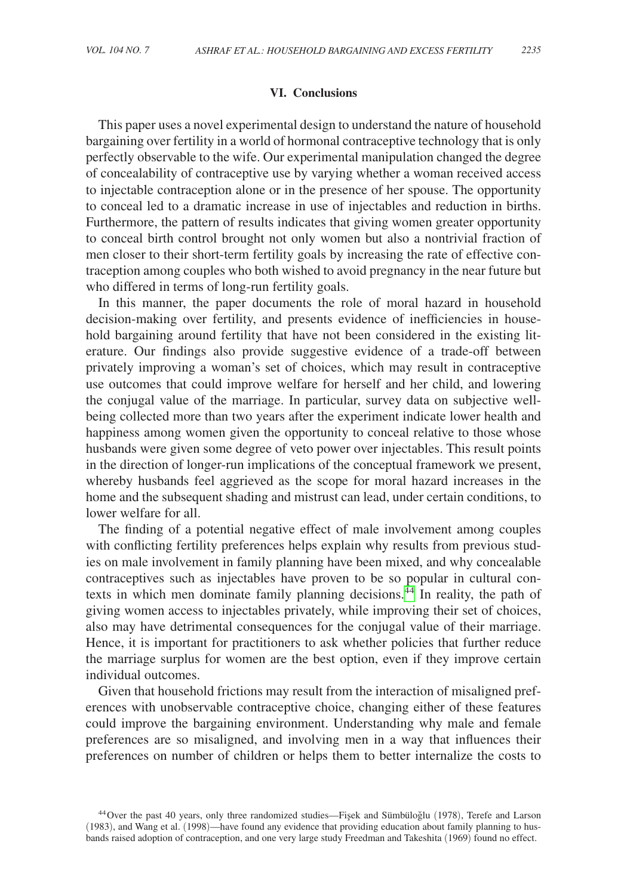## **VI. Conclusions**

This paper uses a novel experimental design to understand the nature of household bargaining over fertility in a world of hormonal contraceptive technology that is only perfectly observable to the wife. Our experimental manipulation changed the degree of concealability of contraceptive use by varying whether a woman received access to injectable contraception alone or in the presence of her spouse. The opportunity to conceal led to a dramatic increase in use of injectables and reduction in births. Furthermore, the pattern of results indicates that giving women greater opportunity to conceal birth control brought not only women but also a nontrivial fraction of men closer to their short-term fertility goals by increasing the rate of effective contraception among couples who both wished to avoid pregnancy in the near future but who differed in terms of long-run fertility goals.

In this manner, the paper documents the role of moral hazard in household decision-making over fertility, and presents evidence of inefficiencies in household bargaining around fertility that have not been considered in the existing literature. Our findings also provide suggestive evidence of a trade-off between privately improving a woman's set of choices, which may result in contraceptive use outcomes that could improve welfare for herself and her child, and lowering the conjugal value of the marriage. In particular, survey data on subjective wellbeing collected more than two years after the experiment indicate lower health and happiness among women given the opportunity to conceal relative to those whose husbands were given some degree of veto power over injectables. This result points in the direction of longer-run implications of the conceptual framework we present, whereby husbands feel aggrieved as the scope for moral hazard increases in the home and the subsequent shading and mistrust can lead, under certain conditions, to lower welfare for all.

The finding of a potential negative effect of male involvement among couples with conflicting fertility preferences helps explain why results from previous studies on male involvement in family planning have been mixed, and why concealable contraceptives such as injectables have proven to be so popular in cultural contexts in which men dominate family planning decisions.<sup>44</sup> In reality, the path of giving women access to injectables privately, while improving their set of choices, also may have detrimental consequences for the conjugal value of their marriage. Hence, it is important for practitioners to ask whether policies that further reduce the marriage surplus for women are the best option, even if they improve certain individual outcomes.

Given that household frictions may result from the interaction of misaligned preferences with unobservable contraceptive choice, changing either of these features could improve the bargaining environment. Understanding why male and female preferences are so misaligned, and involving men in a way that influences their preferences on number of children or helps them to better internalize the costs to

<span id="page-25-0"></span><sup>&</sup>lt;sup>44</sup>Over the past 40 years, only three randomized studies—Fişek and Sümbüloğlu (1978), Terefe and Larson (1983), and Wang et al. (1998)—have found any evidence that providing education about family planning to husbands raised adoption of contraception, and one very large study Freedman and Takeshita (1969) found no effect.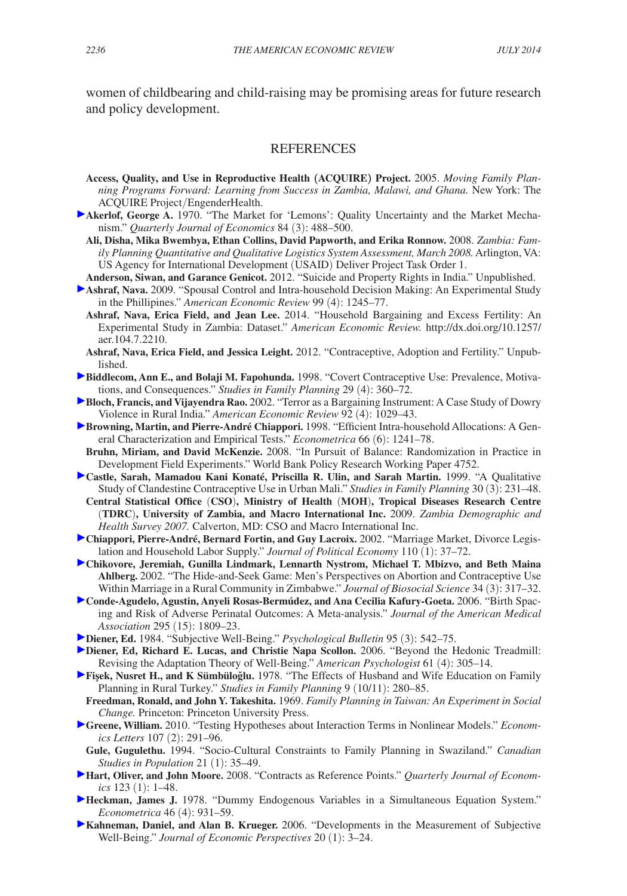women of childbearing and child-raising may be promising areas for future research and policy development.

# **REFERENCES**

- **Access, Quality, and Use in Reproductive Health (ACQUIRE) Project.** 2005. *Moving Family Planning Programs Forward: Learning from Success in Zambia, Malawi, and Ghana.* New York: The ACQUIRE Project/EngenderHealth.
- **Akerlof, George A.** 1970. "The Market for 'Lemons': Quality Uncertainty and the Market Mechanism." *Quarterly Journal of Economics* 84 (3): 488–500.
	- **Ali, Disha, Mika Bwembya, Ethan Collins, David Papworth, and Erika Ronnow.** 2008. *Zambia: Family Planning Quantitative and Qualitative Logistics System Assessment, March 2008.* Arlington, VA: US Agency for International Development (USAID) Deliver Project Task Order 1.
- **Anderson, Siwan, and Garance Genicot.** 2012. "Suicide and Property Rights in India." Unpublished.
- **Ashraf, Nava.** 2009. "Spousal Control and Intra-household Decision Making: An Experimental Study in the Phillipines." *American Economic Review* 99 (4): 1245–77.
	- **Ashraf, Nava, Erica Field, and Jean Lee.** 2014. "Household Bargaining and Excess Fertility: An [Experimental Study in Zambia: Dataset."](http://dx.doi.org/10.1257/aer.104.7.2210) *American Economic Review.* http://dx.doi.org/10.1257/ aer.104.7.2210.
- **Ashraf, Nava, Erica Field, and Jessica Leight.** 2012. "Contraceptive, Adoption and Fertility." Unpublished.
- **Biddlecom, Ann E., and Bolaji M. Fapohunda.** 1998. "Covert Contraceptive Use: Prevalence, Motivations, and Consequences." *Studies in Family Planning* 29 (4): 360–72.
- **Bloch, Francis, and Vijayendra Rao.** 2002. "Terror as a Bargaining Instrument: A Case Study of Dowry Violence in Rural India." *American Economic Review* 92 (4): 1029–43.
- **Browning, Martin, and Pierre-André Chiappori.** 1998. "Efficient Intra-household Allocations: A General Characterization and Empirical Tests." *Econometrica* 66 (6): 1241–78.
- **Bruhn, Miriam, and David McKenzie.** 2008. "In Pursuit of Balance: Randomization in Practice in Development Field Experiments." World Bank Policy Research Working Paper 4752.
- **Castle, Sarah, Mamadou Kani Konaté, Priscilla R. Ulin, and Sarah Martin.** 1999. "A Qualitative Study of Clandestine Contraceptive Use in Urban Mali." *Studies in Family Planning* 30 (3): 231–48.
- **Central Statistical Office** (**CSO**)**, Ministry of Health** (**MOH**)**, Tropical Diseases Research Centre**  (**TDRC**)**, University of Zambia, and Macro International Inc.** 2009. *Zambia Demographic and Health Survey 2007.* Calverton, MD: CSO and Macro International Inc.
- **Chiappori, Pierre-André, Bernard Fortin, and Guy Lacroix.** 2002. "Marriage Market, Divorce Legislation and Household Labor Supply." *Journal of Political Economy* 110 (1): 37–72.
- **Chikovore, Jeremiah, Gunilla Lindmark, Lennarth Nystrom, Michael T. Mbizvo, and Beth Maina Ahlberg.** 2002. "The Hide-and-Seek Game: Men's Perspectives on Abortion and Contraceptive Use Within Marriage in a Rural Community in Zimbabwe." *Journal of Biosocial Science* 34 (3): 317–32.
- **Conde-Agudelo, Agustin, Anyeli Rosas-Bermúdez, and Ana Cecilia Kafury-Goeta.** 2006. "Birth Spacing and Risk of Adverse Perinatal Outcomes: A Meta-analysis." *Journal of the American Medical Association* 295 (15): 1809–23.
- **Diener, Ed.** 1984. "Subjective Well-Being." *Psychological Bulletin* 95 (3): 542–75.
- **Diener, Ed, Richard E. Lucas, and Christie Napa Scollon.** 2006. "Beyond the Hedonic Treadmill: Revising the Adaptation Theory of Well-Being." *American Psychologist* 61 (4): 305–14.
- **Fişek, Nusret H., and K Sümbüloğlu.** 1978. "The Effects of Husband and Wife Education on Family Planning in Rural Turkey." *Studies in Family Planning* 9 (10/11): 280–85.
- **Freedman, Ronald, and John Y. Takeshita.** 1969. *Family Planning in Taiwan: An Experiment in Social Change.* Princeton: Princeton University Press.
- **Greene, William.** 2010. "Testing Hypotheses about Interaction Terms in Nonlinear Models." *Economics Letters* 107 (2): 291–96.
- **Gule, Gugulethu.** 1994. "Socio-Cultural Constraints to Family Planning in Swaziland." *Canadian Studies in Population* 21 (1): 35–49.
- **Hart, Oliver, and John Moore.** 2008. "Contracts as Reference Points." *Quarterly Journal of Economics* 123 (1): 1–48.
- **Heckman, James J.** 1978. "Dummy Endogenous Variables in a Simultaneous Equation System." *Econometrica* 46 (4): 931–59.
- **Kahneman, Daniel, and Alan B. Krueger.** 2006. "Developments in the Measurement of Subjective Well-Being." *Journal of Economic Perspectives* 20 (1): 3–24.